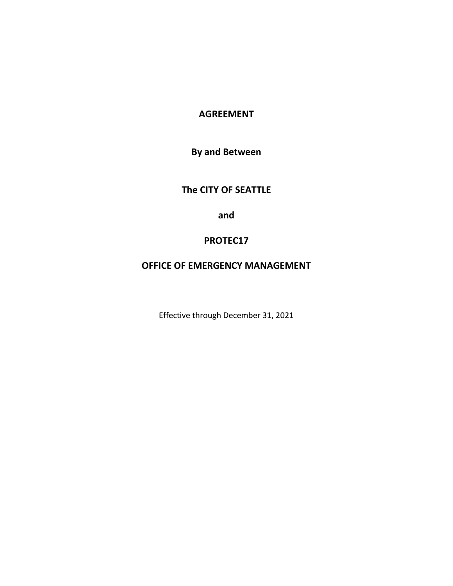# **AGREEMENT**

**By and Between** 

# **The CITY OF SEATTLE**

**and**

# **PROTEC17**

# **OFFICE OF EMERGENCY MANAGEMENT**

Effective through December 31, 2021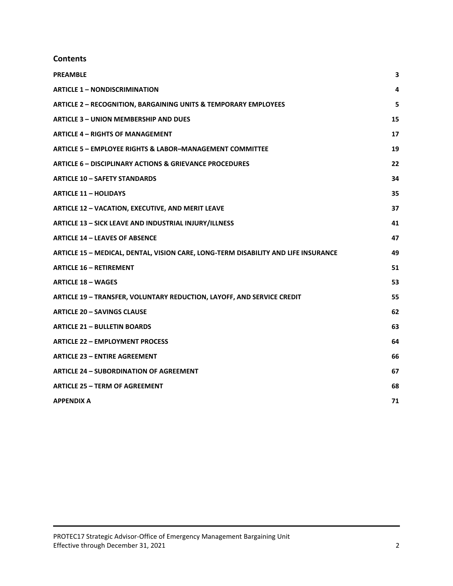# **Contents**

| <b>PREAMBLE</b>                                                                    | 3  |
|------------------------------------------------------------------------------------|----|
| <b>ARTICLE 1 - NONDISCRIMINATION</b>                                               | 4  |
| <b>ARTICLE 2 - RECOGNITION, BARGAINING UNITS &amp; TEMPORARY EMPLOYEES</b>         | 5  |
| <b>ARTICLE 3 - UNION MEMBERSHIP AND DUES</b>                                       | 15 |
| <b>ARTICLE 4 - RIGHTS OF MANAGEMENT</b>                                            | 17 |
| <b>ARTICLE 5 - EMPLOYEE RIGHTS &amp; LABOR-MANAGEMENT COMMITTEE</b>                | 19 |
| <b>ARTICLE 6 - DISCIPLINARY ACTIONS &amp; GRIEVANCE PROCEDURES</b>                 | 22 |
| <b>ARTICLE 10 - SAFETY STANDARDS</b>                                               | 34 |
| <b>ARTICLE 11 - HOLIDAYS</b>                                                       | 35 |
| <b>ARTICLE 12 - VACATION, EXECUTIVE, AND MERIT LEAVE</b>                           | 37 |
| <b>ARTICLE 13 - SICK LEAVE AND INDUSTRIAL INJURY/ILLNESS</b>                       | 41 |
| <b>ARTICLE 14 - LEAVES OF ABSENCE</b>                                              | 47 |
| ARTICLE 15 - MEDICAL, DENTAL, VISION CARE, LONG-TERM DISABILITY AND LIFE INSURANCE | 49 |
| <b>ARTICLE 16 - RETIREMENT</b>                                                     | 51 |
| <b>ARTICLE 18 - WAGES</b>                                                          | 53 |
| ARTICLE 19 - TRANSFER, VOLUNTARY REDUCTION, LAYOFF, AND SERVICE CREDIT             | 55 |
| <b>ARTICLE 20 - SAVINGS CLAUSE</b>                                                 | 62 |
| <b>ARTICLE 21 - BULLETIN BOARDS</b>                                                | 63 |
| <b>ARTICLE 22 - EMPLOYMENT PROCESS</b>                                             | 64 |
| <b>ARTICLE 23 - ENTIRE AGREEMENT</b>                                               | 66 |
| <b>ARTICLE 24 - SUBORDINATION OF AGREEMENT</b>                                     | 67 |
| <b>ARTICLE 25 - TERM OF AGREEMENT</b>                                              | 68 |
| <b>APPENDIX A</b>                                                                  | 71 |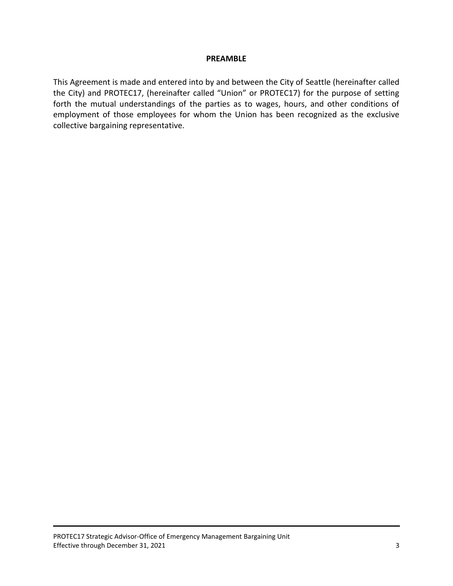#### **PREAMBLE**

This Agreement is made and entered into by and between the City of Seattle (hereinafter called the City) and PROTEC17, (hereinafter called "Union" or PROTEC17) for the purpose of setting forth the mutual understandings of the parties as to wages, hours, and other conditions of employment of those employees for whom the Union has been recognized as the exclusive collective bargaining representative.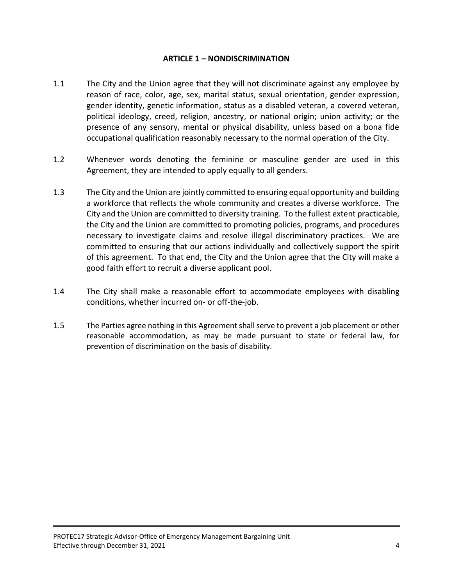#### **ARTICLE 1 – NONDISCRIMINATION**

- 1.1 The City and the Union agree that they will not discriminate against any employee by reason of race, color, age, sex, marital status, sexual orientation, gender expression, gender identity, genetic information, status as a disabled veteran, a covered veteran, political ideology, creed, religion, ancestry, or national origin; union activity; or the presence of any sensory, mental or physical disability, unless based on a bona fide occupational qualification reasonably necessary to the normal operation of the City.
- 1.2 Whenever words denoting the feminine or masculine gender are used in this Agreement, they are intended to apply equally to all genders.
- 1.3 The City and the Union are jointly committed to ensuring equal opportunity and building a workforce that reflects the whole community and creates a diverse workforce. The City and the Union are committed to diversity training. To the fullest extent practicable, the City and the Union are committed to promoting policies, programs, and procedures necessary to investigate claims and resolve illegal discriminatory practices. We are committed to ensuring that our actions individually and collectively support the spirit of this agreement. To that end, the City and the Union agree that the City will make a good faith effort to recruit a diverse applicant pool.
- 1.4 The City shall make a reasonable effort to accommodate employees with disabling conditions, whether incurred on- or off-the-job.
- 1.5 The Parties agree nothing in this Agreement shall serve to prevent a job placement or other reasonable accommodation, as may be made pursuant to state or federal law, for prevention of discrimination on the basis of disability.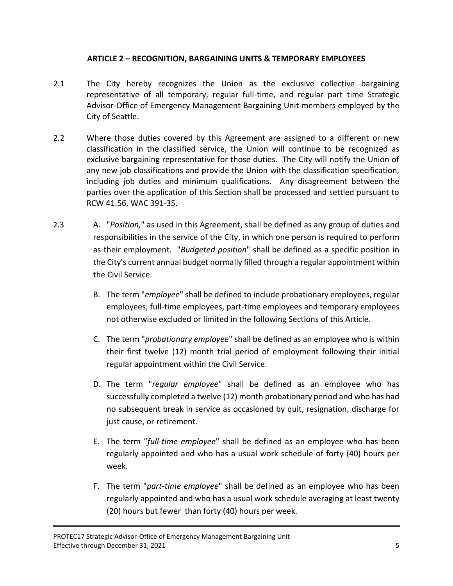# **ARTICLE 2 – RECOGNITION, BARGAINING UNITS & TEMPORARY EMPLOYEES**

- 2.1 The City hereby recognizes the Union as the exclusive collective bargaining representative of all temporary, regular full-time, and regular part time Strategic Advisor-Office of Emergency Management Bargaining Unit members employed by the City of Seattle.
- 2.2 Where those duties covered by this Agreement are assigned to a different or new classification in the classified service, the Union will continue to be recognized as exclusive bargaining representative for those duties. The City will notify the Union of any new job classifications and provide the Union with the classification specification, including job duties and minimum qualifications. Any disagreement between the parties over the application of this Section shall be processed and settled pursuant to RCW 41.56, WAC 391-35.
- 2.3 A. "*Position,*" as used in this Agreement, shall be defined as any group of duties and responsibilities in the service of the City, in which one person is required to perform as their employment. "*Budgeted position*" shall be defined as a specific position in the City's current annual budget normally filled through a regular appointment within the Civil Service.
	- B. The term "*employee*" shall be defined to include probationary employees, regular employees, full-time employees, part-time employees and temporary employees not otherwise excluded or limited in the following Sections of this Article.
	- C. The term "*probationary employee*" shall be defined as an employee who is within their first twelve (12) month trial period of employment following their initial regular appointment within the Civil Service.
	- D. The term "*regular employee*" shall be defined as an employee who has successfully completed a twelve (12) month probationary period and who has had no subsequent break in service as occasioned by quit, resignation, discharge for just cause, or retirement.
	- E. The term "*full-time employee*" shall be defined as an employee who has been regularly appointed and who has a usual work schedule of forty (40) hours per week.
	- F. The term "*part-time employee*" shall be defined as an employee who has been regularly appointed and who has a usual work schedule averaging at least twenty (20) hours but fewer than forty (40) hours per week.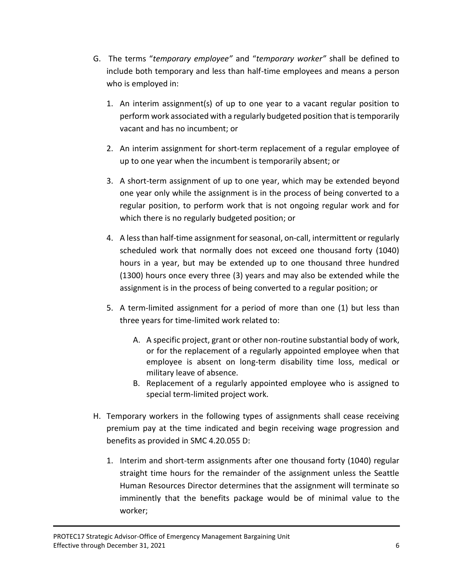- G. The terms "*temporary employee"* and "*temporary worker"* shall be defined to include both temporary and less than half-time employees and means a person who is employed in:
	- 1. An interim assignment(s) of up to one year to a vacant regular position to perform work associated with a regularly budgeted position that is temporarily vacant and has no incumbent; or
	- 2. An interim assignment for short-term replacement of a regular employee of up to one year when the incumbent is temporarily absent; or
	- 3. A short-term assignment of up to one year, which may be extended beyond one year only while the assignment is in the process of being converted to a regular position, to perform work that is not ongoing regular work and for which there is no regularly budgeted position; or
	- 4. A less than half-time assignment for seasonal, on-call, intermittent or regularly scheduled work that normally does not exceed one thousand forty (1040) hours in a year, but may be extended up to one thousand three hundred (1300) hours once every three (3) years and may also be extended while the assignment is in the process of being converted to a regular position; or
	- 5. A term-limited assignment for a period of more than one (1) but less than three years for time-limited work related to:
		- A. A specific project, grant or other non-routine substantial body of work, or for the replacement of a regularly appointed employee when that employee is absent on long-term disability time loss, medical or military leave of absence.
		- B. Replacement of a regularly appointed employee who is assigned to special term-limited project work.
- H. Temporary workers in the following types of assignments shall cease receiving premium pay at the time indicated and begin receiving wage progression and benefits as provided in SMC 4.20.055 D:
	- 1. Interim and short-term assignments after one thousand forty (1040) regular straight time hours for the remainder of the assignment unless the Seattle Human Resources Director determines that the assignment will terminate so imminently that the benefits package would be of minimal value to the worker;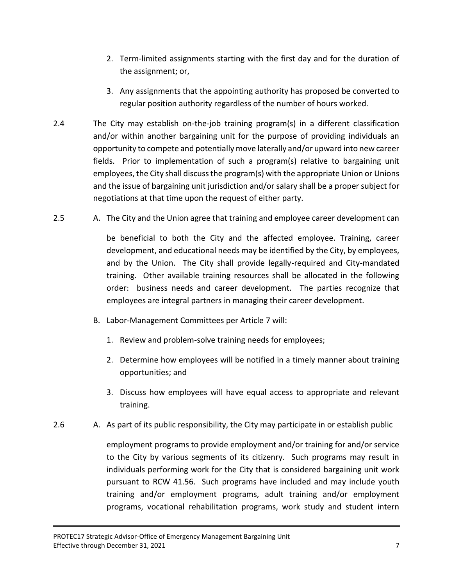- 2. Term-limited assignments starting with the first day and for the duration of the assignment; or,
- 3. Any assignments that the appointing authority has proposed be converted to regular position authority regardless of the number of hours worked.
- 2.4 The City may establish on-the-job training program(s) in a different classification and/or within another bargaining unit for the purpose of providing individuals an opportunity to compete and potentially move laterally and/or upward into new career fields. Prior to implementation of such a program(s) relative to bargaining unit employees, the City shall discuss the program(s) with the appropriate Union or Unions and the issue of bargaining unit jurisdiction and/or salary shall be a proper subject for negotiations at that time upon the request of either party.
- 2.5 A. The City and the Union agree that training and employee career development can

be beneficial to both the City and the affected employee. Training, career development, and educational needs may be identified by the City, by employees, and by the Union. The City shall provide legally-required and City-mandated training. Other available training resources shall be allocated in the following order: business needs and career development. The parties recognize that employees are integral partners in managing their career development.

- B. Labor-Management Committees per Article 7 will:
	- 1. Review and problem-solve training needs for employees;
	- 2. Determine how employees will be notified in a timely manner about training opportunities; and
	- 3. Discuss how employees will have equal access to appropriate and relevant training.
- 2.6 A. As part of its public responsibility, the City may participate in or establish public

employment programs to provide employment and/or training for and/or service to the City by various segments of its citizenry. Such programs may result in individuals performing work for the City that is considered bargaining unit work pursuant to RCW 41.56. Such programs have included and may include youth training and/or employment programs, adult training and/or employment programs, vocational rehabilitation programs, work study and student intern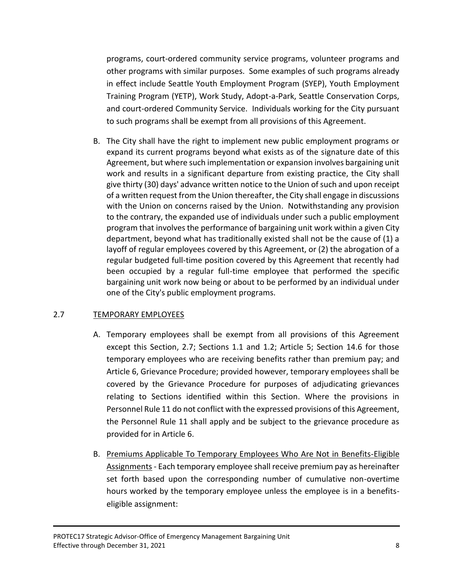programs, court-ordered community service programs, volunteer programs and other programs with similar purposes. Some examples of such programs already in effect include Seattle Youth Employment Program (SYEP), Youth Employment Training Program (YETP), Work Study, Adopt-a-Park, Seattle Conservation Corps, and court-ordered Community Service. Individuals working for the City pursuant to such programs shall be exempt from all provisions of this Agreement.

B. The City shall have the right to implement new public employment programs or expand its current programs beyond what exists as of the signature date of this Agreement, but where such implementation or expansion involves bargaining unit work and results in a significant departure from existing practice, the City shall give thirty (30) days' advance written notice to the Union of such and upon receipt of a written request from the Union thereafter, the City shall engage in discussions with the Union on concerns raised by the Union. Notwithstanding any provision to the contrary, the expanded use of individuals under such a public employment program that involves the performance of bargaining unit work within a given City department, beyond what has traditionally existed shall not be the cause of (1) a layoff of regular employees covered by this Agreement, or (2) the abrogation of a regular budgeted full-time position covered by this Agreement that recently had been occupied by a regular full-time employee that performed the specific bargaining unit work now being or about to be performed by an individual under one of the City's public employment programs.

# 2.7 TEMPORARY EMPLOYEES

- A. Temporary employees shall be exempt from all provisions of this Agreement except this Section, 2.7; Sections 1.1 and 1.2; Article 5; Section 14.6 for those temporary employees who are receiving benefits rather than premium pay; and Article 6, Grievance Procedure; provided however, temporary employees shall be covered by the Grievance Procedure for purposes of adjudicating grievances relating to Sections identified within this Section. Where the provisions in Personnel Rule 11 do not conflict with the expressed provisions of this Agreement, the Personnel Rule 11 shall apply and be subject to the grievance procedure as provided for in Article 6.
- B. Premiums Applicable To Temporary Employees Who Are Not in Benefits-Eligible Assignments- Each temporary employee shall receive premium pay as hereinafter set forth based upon the corresponding number of cumulative non-overtime hours worked by the temporary employee unless the employee is in a benefitseligible assignment: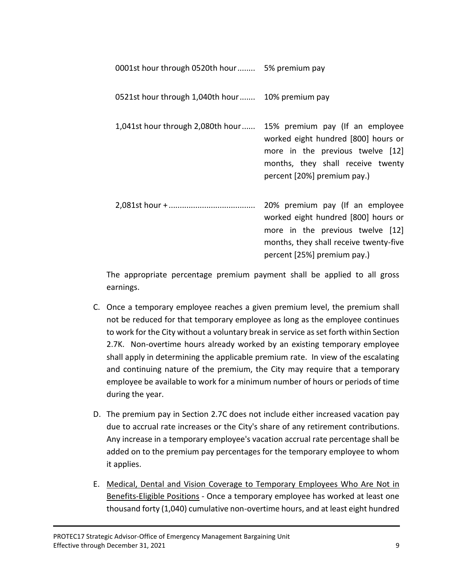| 0001st hour through 0520th hour 5% premium pay                    |                                                                                                                                                                                     |
|-------------------------------------------------------------------|-------------------------------------------------------------------------------------------------------------------------------------------------------------------------------------|
| 0521st hour through 1,040th hour 10% premium pay                  |                                                                                                                                                                                     |
| 1,041st hour through 2,080th hour 15% premium pay (If an employee | worked eight hundred [800] hours or<br>more in the previous twelve [12]<br>months, they shall receive twenty<br>percent [20%] premium pay.)                                         |
|                                                                   | 20% premium pay (If an employee<br>worked eight hundred [800] hours or<br>more in the previous twelve [12]<br>months, they shall receive twenty-five<br>percent [25%] premium pay.) |

The appropriate percentage premium payment shall be applied to all gross earnings.

- C. Once a temporary employee reaches a given premium level, the premium shall not be reduced for that temporary employee as long as the employee continues to work for the City without a voluntary break in service as set forth within Section 2.7K. Non-overtime hours already worked by an existing temporary employee shall apply in determining the applicable premium rate. In view of the escalating and continuing nature of the premium, the City may require that a temporary employee be available to work for a minimum number of hours or periods of time during the year.
- D. The premium pay in Section 2.7C does not include either increased vacation pay due to accrual rate increases or the City's share of any retirement contributions. Any increase in a temporary employee's vacation accrual rate percentage shall be added on to the premium pay percentages for the temporary employee to whom it applies.
- E. Medical, Dental and Vision Coverage to Temporary Employees Who Are Not in Benefits-Eligible Positions - Once a temporary employee has worked at least one thousand forty (1,040) cumulative non-overtime hours, and at least eight hundred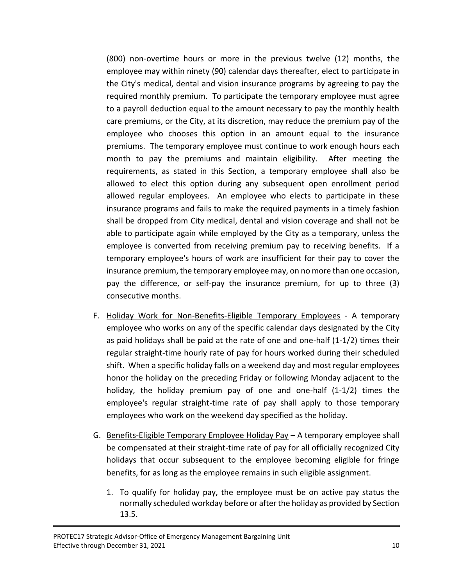(800) non-overtime hours or more in the previous twelve (12) months, the employee may within ninety (90) calendar days thereafter, elect to participate in the City's medical, dental and vision insurance programs by agreeing to pay the required monthly premium. To participate the temporary employee must agree to a payroll deduction equal to the amount necessary to pay the monthly health care premiums, or the City, at its discretion, may reduce the premium pay of the employee who chooses this option in an amount equal to the insurance premiums. The temporary employee must continue to work enough hours each month to pay the premiums and maintain eligibility. After meeting the requirements, as stated in this Section, a temporary employee shall also be allowed to elect this option during any subsequent open enrollment period allowed regular employees. An employee who elects to participate in these insurance programs and fails to make the required payments in a timely fashion shall be dropped from City medical, dental and vision coverage and shall not be able to participate again while employed by the City as a temporary, unless the employee is converted from receiving premium pay to receiving benefits. If a temporary employee's hours of work are insufficient for their pay to cover the insurance premium, the temporary employee may, on no more than one occasion, pay the difference, or self-pay the insurance premium, for up to three (3) consecutive months.

- F. Holiday Work for Non-Benefits-Eligible Temporary Employees A temporary employee who works on any of the specific calendar days designated by the City as paid holidays shall be paid at the rate of one and one-half (1-1/2) times their regular straight-time hourly rate of pay for hours worked during their scheduled shift. When a specific holiday falls on a weekend day and most regular employees honor the holiday on the preceding Friday or following Monday adjacent to the holiday, the holiday premium pay of one and one-half (1-1/2) times the employee's regular straight-time rate of pay shall apply to those temporary employees who work on the weekend day specified as the holiday.
- G. Benefits-Eligible Temporary Employee Holiday Pay A temporary employee shall be compensated at their straight-time rate of pay for all officially recognized City holidays that occur subsequent to the employee becoming eligible for fringe benefits, for as long as the employee remains in such eligible assignment.
	- 1. To qualify for holiday pay, the employee must be on active pay status the normally scheduled workday before or after the holiday as provided by Section 13.5.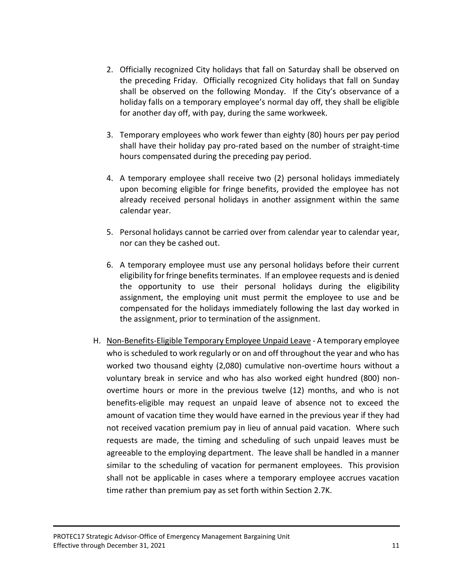- 2. Officially recognized City holidays that fall on Saturday shall be observed on the preceding Friday. Officially recognized City holidays that fall on Sunday shall be observed on the following Monday. If the City's observance of a holiday falls on a temporary employee's normal day off, they shall be eligible for another day off, with pay, during the same workweek.
- 3. Temporary employees who work fewer than eighty (80) hours per pay period shall have their holiday pay pro-rated based on the number of straight-time hours compensated during the preceding pay period.
- 4. A temporary employee shall receive two (2) personal holidays immediately upon becoming eligible for fringe benefits, provided the employee has not already received personal holidays in another assignment within the same calendar year.
- 5. Personal holidays cannot be carried over from calendar year to calendar year, nor can they be cashed out.
- 6. A temporary employee must use any personal holidays before their current eligibility for fringe benefits terminates. If an employee requests and is denied the opportunity to use their personal holidays during the eligibility assignment, the employing unit must permit the employee to use and be compensated for the holidays immediately following the last day worked in the assignment, prior to termination of the assignment.
- H. Non-Benefits-Eligible Temporary Employee Unpaid Leave A temporary employee who is scheduled to work regularly or on and off throughout the year and who has worked two thousand eighty (2,080) cumulative non-overtime hours without a voluntary break in service and who has also worked eight hundred (800) nonovertime hours or more in the previous twelve (12) months, and who is not benefits-eligible may request an unpaid leave of absence not to exceed the amount of vacation time they would have earned in the previous year if they had not received vacation premium pay in lieu of annual paid vacation. Where such requests are made, the timing and scheduling of such unpaid leaves must be agreeable to the employing department. The leave shall be handled in a manner similar to the scheduling of vacation for permanent employees. This provision shall not be applicable in cases where a temporary employee accrues vacation time rather than premium pay as set forth within Section 2.7K.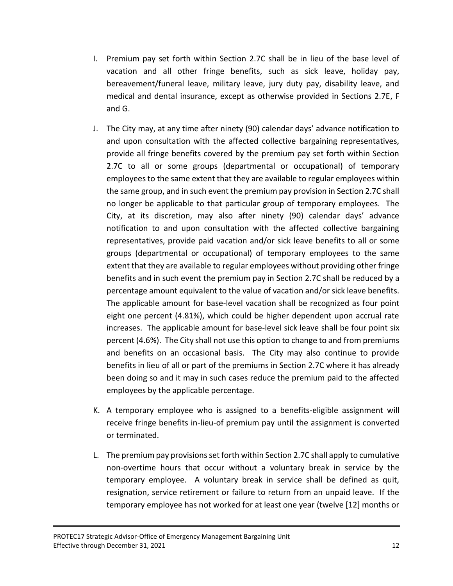- I. Premium pay set forth within Section 2.7C shall be in lieu of the base level of vacation and all other fringe benefits, such as sick leave, holiday pay, bereavement/funeral leave, military leave, jury duty pay, disability leave, and medical and dental insurance, except as otherwise provided in Sections 2.7E, F and G.
- J. The City may, at any time after ninety (90) calendar days' advance notification to and upon consultation with the affected collective bargaining representatives, provide all fringe benefits covered by the premium pay set forth within Section 2.7C to all or some groups (departmental or occupational) of temporary employees to the same extent that they are available to regular employees within the same group, and in such event the premium pay provision in Section 2.7C shall no longer be applicable to that particular group of temporary employees. The City, at its discretion, may also after ninety (90) calendar days' advance notification to and upon consultation with the affected collective bargaining representatives, provide paid vacation and/or sick leave benefits to all or some groups (departmental or occupational) of temporary employees to the same extent that they are available to regular employees without providing other fringe benefits and in such event the premium pay in Section 2.7C shall be reduced by a percentage amount equivalent to the value of vacation and/or sick leave benefits. The applicable amount for base-level vacation shall be recognized as four point eight one percent (4.81%), which could be higher dependent upon accrual rate increases. The applicable amount for base-level sick leave shall be four point six percent (4.6%). The City shall not use this option to change to and from premiums and benefits on an occasional basis. The City may also continue to provide benefits in lieu of all or part of the premiums in Section 2.7C where it has already been doing so and it may in such cases reduce the premium paid to the affected employees by the applicable percentage.
- K. A temporary employee who is assigned to a benefits-eligible assignment will receive fringe benefits in-lieu-of premium pay until the assignment is converted or terminated.
- L. The premium pay provisions set forth within Section 2.7C shall apply to cumulative non-overtime hours that occur without a voluntary break in service by the temporary employee. A voluntary break in service shall be defined as quit, resignation, service retirement or failure to return from an unpaid leave. If the temporary employee has not worked for at least one year (twelve [12] months or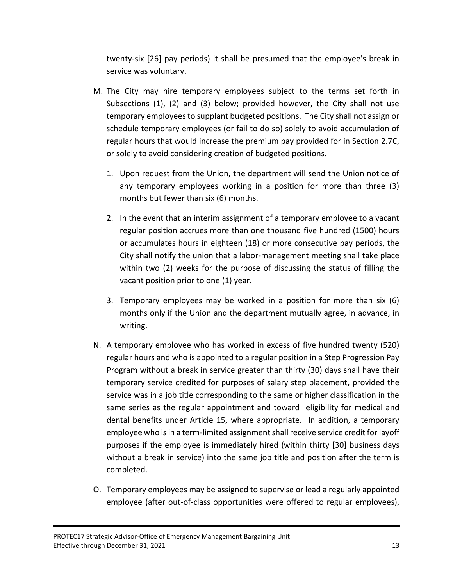twenty-six [26] pay periods) it shall be presumed that the employee's break in service was voluntary.

- M. The City may hire temporary employees subject to the terms set forth in Subsections (1), (2) and (3) below; provided however, the City shall not use temporary employees to supplant budgeted positions. The City shall not assign or schedule temporary employees (or fail to do so) solely to avoid accumulation of regular hours that would increase the premium pay provided for in Section 2.7C, or solely to avoid considering creation of budgeted positions.
	- 1. Upon request from the Union, the department will send the Union notice of any temporary employees working in a position for more than three (3) months but fewer than six (6) months.
	- 2. In the event that an interim assignment of a temporary employee to a vacant regular position accrues more than one thousand five hundred (1500) hours or accumulates hours in eighteen (18) or more consecutive pay periods, the City shall notify the union that a labor-management meeting shall take place within two (2) weeks for the purpose of discussing the status of filling the vacant position prior to one (1) year.
	- 3. Temporary employees may be worked in a position for more than six (6) months only if the Union and the department mutually agree, in advance, in writing.
- N. A temporary employee who has worked in excess of five hundred twenty (520) regular hours and who is appointed to a regular position in a Step Progression Pay Program without a break in service greater than thirty (30) days shall have their temporary service credited for purposes of salary step placement, provided the service was in a job title corresponding to the same or higher classification in the same series as the regular appointment and toward eligibility for medical and dental benefits under Article 15, where appropriate. In addition, a temporary employee who is in a term-limited assignment shall receive service credit for layoff purposes if the employee is immediately hired (within thirty [30] business days without a break in service) into the same job title and position after the term is completed.
- O. Temporary employees may be assigned to supervise or lead a regularly appointed employee (after out-of-class opportunities were offered to regular employees),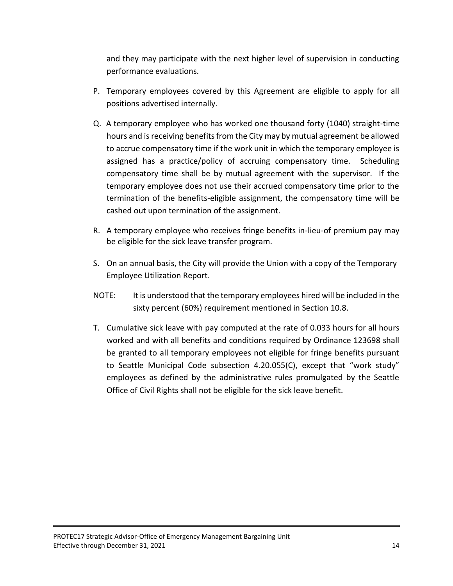and they may participate with the next higher level of supervision in conducting performance evaluations.

- P. Temporary employees covered by this Agreement are eligible to apply for all positions advertised internally.
- Q. A temporary employee who has worked one thousand forty (1040) straight-time hours and is receiving benefits from the City may by mutual agreement be allowed to accrue compensatory time if the work unit in which the temporary employee is assigned has a practice/policy of accruing compensatory time. Scheduling compensatory time shall be by mutual agreement with the supervisor. If the temporary employee does not use their accrued compensatory time prior to the termination of the benefits-eligible assignment, the compensatory time will be cashed out upon termination of the assignment.
- R. A temporary employee who receives fringe benefits in-lieu-of premium pay may be eligible for the sick leave transfer program.
- S. On an annual basis, the City will provide the Union with a copy of the Temporary Employee Utilization Report.
- NOTE: It is understood that the temporary employees hired will be included in the sixty percent (60%) requirement mentioned in Section 10.8.
- T. Cumulative sick leave with pay computed at the rate of 0.033 hours for all hours worked and with all benefits and conditions required by Ordinance 123698 shall be granted to all temporary employees not eligible for fringe benefits pursuant to Seattle Municipal Code subsection 4.20.055(C), except that "work study" employees as defined by the administrative rules promulgated by the Seattle Office of Civil Rights shall not be eligible for the sick leave benefit.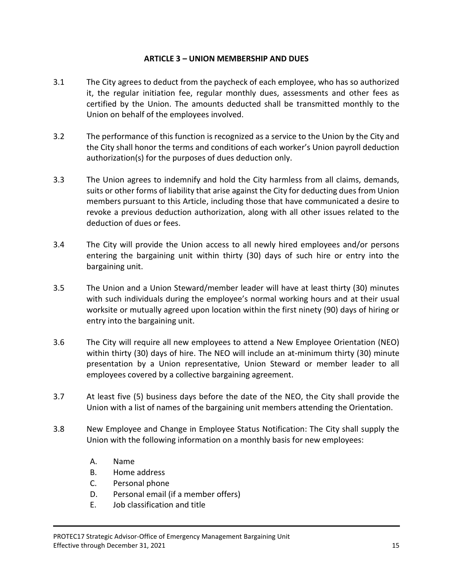# **ARTICLE 3 – UNION MEMBERSHIP AND DUES**

- 3.1 The City agrees to deduct from the paycheck of each employee, who has so authorized it, the regular initiation fee, regular monthly dues, assessments and other fees as certified by the Union. The amounts deducted shall be transmitted monthly to the Union on behalf of the employees involved.
- 3.2 The performance of this function is recognized as a service to the Union by the City and the City shall honor the terms and conditions of each worker's Union payroll deduction authorization(s) for the purposes of dues deduction only.
- 3.3 The Union agrees to indemnify and hold the City harmless from all claims, demands, suits or other forms of liability that arise against the City for deducting dues from Union members pursuant to this Article, including those that have communicated a desire to revoke a previous deduction authorization, along with all other issues related to the deduction of dues or fees.
- 3.4 The City will provide the Union access to all newly hired employees and/or persons entering the bargaining unit within thirty (30) days of such hire or entry into the bargaining unit.
- 3.5 The Union and a Union Steward/member leader will have at least thirty (30) minutes with such individuals during the employee's normal working hours and at their usual worksite or mutually agreed upon location within the first ninety (90) days of hiring or entry into the bargaining unit.
- 3.6 The City will require all new employees to attend a New Employee Orientation (NEO) within thirty (30) days of hire. The NEO will include an at-minimum thirty (30) minute presentation by a Union representative, Union Steward or member leader to all employees covered by a collective bargaining agreement.
- 3.7 At least five (5) business days before the date of the NEO, the City shall provide the Union with a list of names of the bargaining unit members attending the Orientation.
- 3.8 New Employee and Change in Employee Status Notification: The City shall supply the Union with the following information on a monthly basis for new employees:
	- A. Name
	- B. Home address
	- C. Personal phone
	- D. Personal email (if a member offers)
	- E. Job classification and title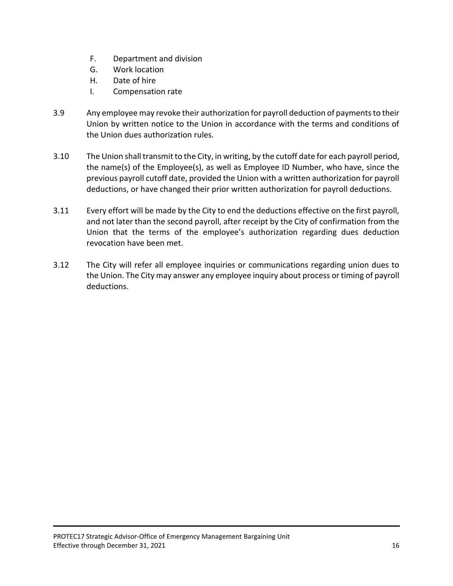- F. Department and division
- G. Work location
- H. Date of hire
- I. Compensation rate
- 3.9 Any employee may revoke their authorization for payroll deduction of payments to their Union by written notice to the Union in accordance with the terms and conditions of the Union dues authorization rules.
- 3.10 The Union shall transmit to the City, in writing, by the cutoff date for each payroll period, the name(s) of the Employee(s), as well as Employee ID Number, who have, since the previous payroll cutoff date, provided the Union with a written authorization for payroll deductions, or have changed their prior written authorization for payroll deductions.
- 3.11 Every effort will be made by the City to end the deductions effective on the first payroll, and not later than the second payroll, after receipt by the City of confirmation from the Union that the terms of the employee's authorization regarding dues deduction revocation have been met.
- 3.12 The City will refer all employee inquiries or communications regarding union dues to the Union. The City may answer any employee inquiry about process or timing of payroll deductions.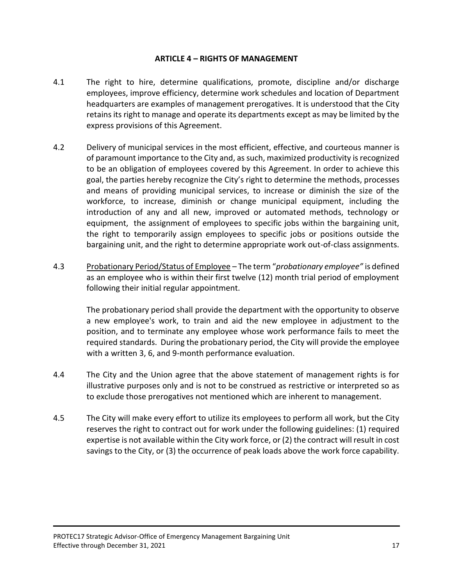### **ARTICLE 4 – RIGHTS OF MANAGEMENT**

- 4.1 The right to hire, determine qualifications, promote, discipline and/or discharge employees, improve efficiency, determine work schedules and location of Department headquarters are examples of management prerogatives. It is understood that the City retains its right to manage and operate its departments except as may be limited by the express provisions of this Agreement.
- 4.2 Delivery of municipal services in the most efficient, effective, and courteous manner is of paramount importance to the City and, as such, maximized productivity is recognized to be an obligation of employees covered by this Agreement. In order to achieve this goal, the parties hereby recognize the City's right to determine the methods, processes and means of providing municipal services, to increase or diminish the size of the workforce, to increase, diminish or change municipal equipment, including the introduction of any and all new, improved or automated methods, technology or equipment, the assignment of employees to specific jobs within the bargaining unit, the right to temporarily assign employees to specific jobs or positions outside the bargaining unit, and the right to determine appropriate work out-of-class assignments.
- 4.3 Probationary Period/Status of Employee The term "*probationary employee"* is defined as an employee who is within their first twelve (12) month trial period of employment following their initial regular appointment.

The probationary period shall provide the department with the opportunity to observe a new employee's work, to train and aid the new employee in adjustment to the position, and to terminate any employee whose work performance fails to meet the required standards. During the probationary period, the City will provide the employee with a written 3, 6, and 9-month performance evaluation.

- 4.4 The City and the Union agree that the above statement of management rights is for illustrative purposes only and is not to be construed as restrictive or interpreted so as to exclude those prerogatives not mentioned which are inherent to management.
- 4.5 The City will make every effort to utilize its employees to perform all work, but the City reserves the right to contract out for work under the following guidelines: (1) required expertise is not available within the City work force, or (2) the contract will result in cost savings to the City, or (3) the occurrence of peak loads above the work force capability.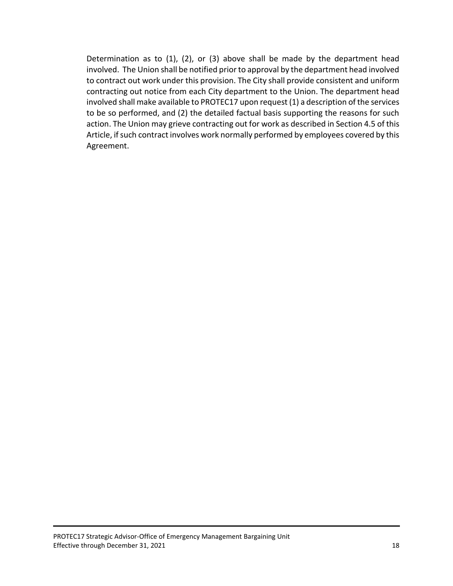Determination as to (1), (2), or (3) above shall be made by the department head involved. The Union shall be notified prior to approval by the department head involved to contract out work under this provision. The City shall provide consistent and uniform contracting out notice from each City department to the Union. The department head involved shall make available to PROTEC17 upon request (1) a description of the services to be so performed, and (2) the detailed factual basis supporting the reasons for such action. The Union may grieve contracting out for work as described in Section 4.5 of this Article, if such contract involves work normally performed by employees covered by this Agreement.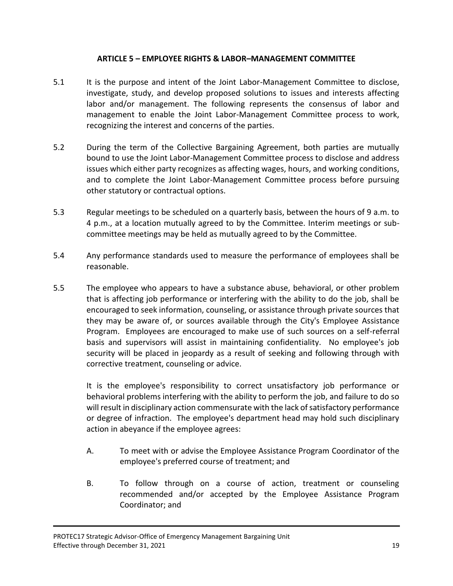# **ARTICLE 5 – EMPLOYEE RIGHTS & LABOR–MANAGEMENT COMMITTEE**

- 5.1 It is the purpose and intent of the Joint Labor-Management Committee to disclose, investigate, study, and develop proposed solutions to issues and interests affecting labor and/or management. The following represents the consensus of labor and management to enable the Joint Labor-Management Committee process to work, recognizing the interest and concerns of the parties.
- 5.2 During the term of the Collective Bargaining Agreement, both parties are mutually bound to use the Joint Labor-Management Committee process to disclose and address issues which either party recognizes as affecting wages, hours, and working conditions, and to complete the Joint Labor-Management Committee process before pursuing other statutory or contractual options.
- 5.3 Regular meetings to be scheduled on a quarterly basis, between the hours of 9 a.m. to 4 p.m., at a location mutually agreed to by the Committee. Interim meetings or subcommittee meetings may be held as mutually agreed to by the Committee.
- 5.4 Any performance standards used to measure the performance of employees shall be reasonable.
- 5.5 The employee who appears to have a substance abuse, behavioral, or other problem that is affecting job performance or interfering with the ability to do the job, shall be encouraged to seek information, counseling, or assistance through private sources that they may be aware of, or sources available through the City's Employee Assistance Program. Employees are encouraged to make use of such sources on a self-referral basis and supervisors will assist in maintaining confidentiality. No employee's job security will be placed in jeopardy as a result of seeking and following through with corrective treatment, counseling or advice.

It is the employee's responsibility to correct unsatisfactory job performance or behavioral problems interfering with the ability to perform the job, and failure to do so will result in disciplinary action commensurate with the lack of satisfactory performance or degree of infraction. The employee's department head may hold such disciplinary action in abeyance if the employee agrees:

- A. To meet with or advise the Employee Assistance Program Coordinator of the employee's preferred course of treatment; and
- B. To follow through on a course of action, treatment or counseling recommended and/or accepted by the Employee Assistance Program Coordinator; and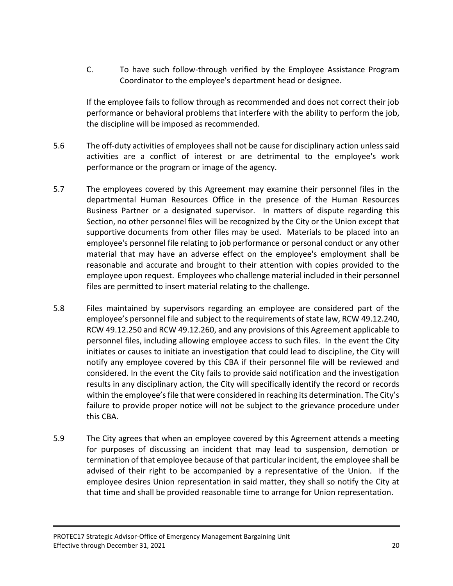C. To have such follow-through verified by the Employee Assistance Program Coordinator to the employee's department head or designee.

If the employee fails to follow through as recommended and does not correct their job performance or behavioral problems that interfere with the ability to perform the job, the discipline will be imposed as recommended.

- 5.6 The off-duty activities of employees shall not be cause for disciplinary action unless said activities are a conflict of interest or are detrimental to the employee's work performance or the program or image of the agency.
- 5.7 The employees covered by this Agreement may examine their personnel files in the departmental Human Resources Office in the presence of the Human Resources Business Partner or a designated supervisor. In matters of dispute regarding this Section, no other personnel files will be recognized by the City or the Union except that supportive documents from other files may be used. Materials to be placed into an employee's personnel file relating to job performance or personal conduct or any other material that may have an adverse effect on the employee's employment shall be reasonable and accurate and brought to their attention with copies provided to the employee upon request. Employees who challenge material included in their personnel files are permitted to insert material relating to the challenge.
- 5.8 Files maintained by supervisors regarding an employee are considered part of the employee's personnel file and subject to the requirements of state law, RCW 49.12.240, RCW 49.12.250 and RCW 49.12.260, and any provisions of this Agreement applicable to personnel files, including allowing employee access to such files. In the event the City initiates or causes to initiate an investigation that could lead to discipline, the City will notify any employee covered by this CBA if their personnel file will be reviewed and considered. In the event the City fails to provide said notification and the investigation results in any disciplinary action, the City will specifically identify the record or records within the employee's file that were considered in reaching its determination. The City's failure to provide proper notice will not be subject to the grievance procedure under this CBA.
- 5.9 The City agrees that when an employee covered by this Agreement attends a meeting for purposes of discussing an incident that may lead to suspension, demotion or termination of that employee because of that particular incident, the employee shall be advised of their right to be accompanied by a representative of the Union. If the employee desires Union representation in said matter, they shall so notify the City at that time and shall be provided reasonable time to arrange for Union representation.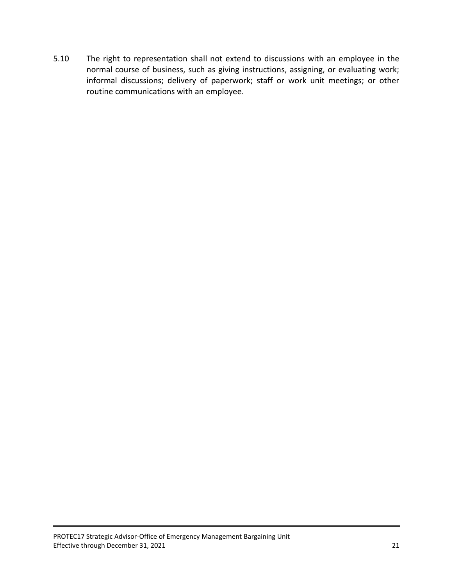5.10 The right to representation shall not extend to discussions with an employee in the normal course of business, such as giving instructions, assigning, or evaluating work; informal discussions; delivery of paperwork; staff or work unit meetings; or other routine communications with an employee.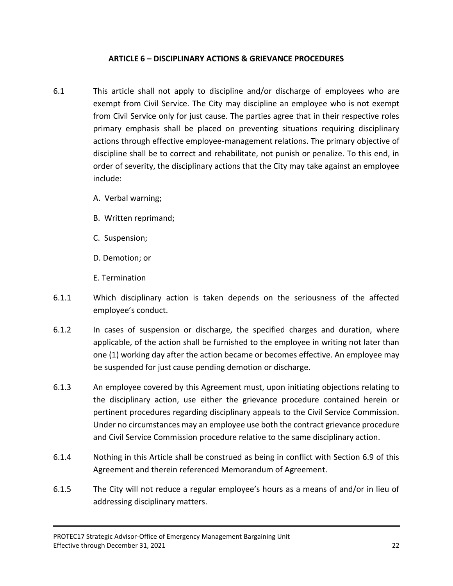# **ARTICLE 6 – DISCIPLINARY ACTIONS & GRIEVANCE PROCEDURES**

- 6.1 This article shall not apply to discipline and/or discharge of employees who are exempt from Civil Service. The City may discipline an employee who is not exempt from Civil Service only for just cause. The parties agree that in their respective roles primary emphasis shall be placed on preventing situations requiring disciplinary actions through effective employee-management relations. The primary objective of discipline shall be to correct and rehabilitate, not punish or penalize. To this end, in order of severity, the disciplinary actions that the City may take against an employee include:
	- A. Verbal warning;
	- B. Written reprimand;
	- C. Suspension;
	- D. Demotion; or
	- E. Termination
- 6.1.1 Which disciplinary action is taken depends on the seriousness of the affected employee's conduct.
- 6.1.2 In cases of suspension or discharge, the specified charges and duration, where applicable, of the action shall be furnished to the employee in writing not later than one (1) working day after the action became or becomes effective. An employee may be suspended for just cause pending demotion or discharge.
- 6.1.3 An employee covered by this Agreement must, upon initiating objections relating to the disciplinary action, use either the grievance procedure contained herein or pertinent procedures regarding disciplinary appeals to the Civil Service Commission. Under no circumstances may an employee use both the contract grievance procedure and Civil Service Commission procedure relative to the same disciplinary action.
- 6.1.4 Nothing in this Article shall be construed as being in conflict with Section 6.9 of this Agreement and therein referenced Memorandum of Agreement.
- 6.1.5 The City will not reduce a regular employee's hours as a means of and/or in lieu of addressing disciplinary matters.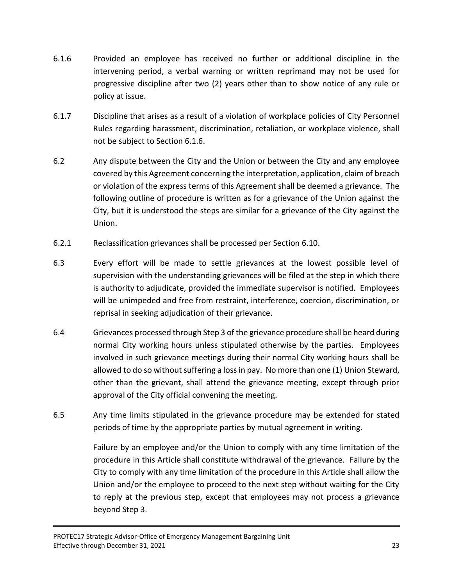- 6.1.6 Provided an employee has received no further or additional discipline in the intervening period, a verbal warning or written reprimand may not be used for progressive discipline after two (2) years other than to show notice of any rule or policy at issue.
- 6.1.7 Discipline that arises as a result of a violation of workplace policies of City Personnel Rules regarding harassment, discrimination, retaliation, or workplace violence, shall not be subject to Section 6.1.6.
- 6.2 Any dispute between the City and the Union or between the City and any employee covered by this Agreement concerning the interpretation, application, claim of breach or violation of the express terms of this Agreement shall be deemed a grievance. The following outline of procedure is written as for a grievance of the Union against the City, but it is understood the steps are similar for a grievance of the City against the Union.
- 6.2.1 Reclassification grievances shall be processed per Section 6.10.
- 6.3 Every effort will be made to settle grievances at the lowest possible level of supervision with the understanding grievances will be filed at the step in which there is authority to adjudicate, provided the immediate supervisor is notified. Employees will be unimpeded and free from restraint, interference, coercion, discrimination, or reprisal in seeking adjudication of their grievance.
- 6.4 Grievances processed through Step 3 of the grievance procedure shall be heard during normal City working hours unless stipulated otherwise by the parties. Employees involved in such grievance meetings during their normal City working hours shall be allowed to do so without suffering a loss in pay. No more than one (1) Union Steward, other than the grievant, shall attend the grievance meeting, except through prior approval of the City official convening the meeting.
- 6.5 Any time limits stipulated in the grievance procedure may be extended for stated periods of time by the appropriate parties by mutual agreement in writing.

Failure by an employee and/or the Union to comply with any time limitation of the procedure in this Article shall constitute withdrawal of the grievance. Failure by the City to comply with any time limitation of the procedure in this Article shall allow the Union and/or the employee to proceed to the next step without waiting for the City to reply at the previous step, except that employees may not process a grievance beyond Step 3.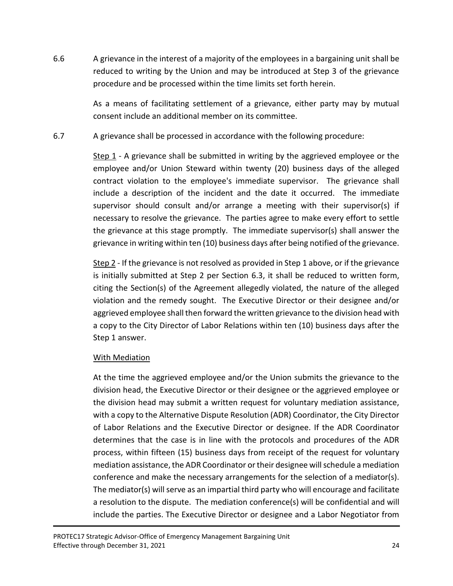6.6 A grievance in the interest of a majority of the employees in a bargaining unit shall be reduced to writing by the Union and may be introduced at Step 3 of the grievance procedure and be processed within the time limits set forth herein.

> As a means of facilitating settlement of a grievance, either party may by mutual consent include an additional member on its committee.

6.7 A grievance shall be processed in accordance with the following procedure:

Step 1 - A grievance shall be submitted in writing by the aggrieved employee or the employee and/or Union Steward within twenty (20) business days of the alleged contract violation to the employee's immediate supervisor. The grievance shall include a description of the incident and the date it occurred. The immediate supervisor should consult and/or arrange a meeting with their supervisor(s) if necessary to resolve the grievance. The parties agree to make every effort to settle the grievance at this stage promptly. The immediate supervisor(s) shall answer the grievance in writing within ten (10) business days after being notified of the grievance.

Step 2 - If the grievance is not resolved as provided in Step 1 above, or if the grievance is initially submitted at Step 2 per Section 6.3, it shall be reduced to written form, citing the Section(s) of the Agreement allegedly violated, the nature of the alleged violation and the remedy sought. The Executive Director or their designee and/or aggrieved employee shall then forward the written grievance to the division head with a copy to the City Director of Labor Relations within ten (10) business days after the Step 1 answer.

# With Mediation

At the time the aggrieved employee and/or the Union submits the grievance to the division head, the Executive Director or their designee or the aggrieved employee or the division head may submit a written request for voluntary mediation assistance, with a copy to the Alternative Dispute Resolution (ADR) Coordinator, the City Director of Labor Relations and the Executive Director or designee. If the ADR Coordinator determines that the case is in line with the protocols and procedures of the ADR process, within fifteen (15) business days from receipt of the request for voluntary mediation assistance, the ADR Coordinator or their designee will schedule a mediation conference and make the necessary arrangements for the selection of a mediator(s). The mediator(s) will serve as an impartial third party who will encourage and facilitate a resolution to the dispute. The mediation conference(s) will be confidential and will include the parties. The Executive Director or designee and a Labor Negotiator from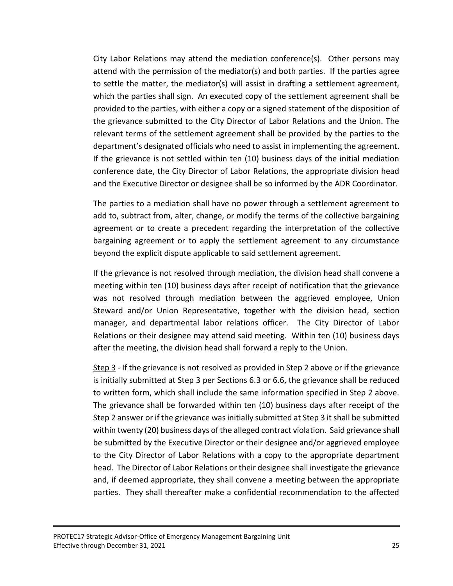City Labor Relations may attend the mediation conference(s). Other persons may attend with the permission of the mediator(s) and both parties. If the parties agree to settle the matter, the mediator(s) will assist in drafting a settlement agreement, which the parties shall sign. An executed copy of the settlement agreement shall be provided to the parties, with either a copy or a signed statement of the disposition of the grievance submitted to the City Director of Labor Relations and the Union. The relevant terms of the settlement agreement shall be provided by the parties to the department's designated officials who need to assist in implementing the agreement. If the grievance is not settled within ten (10) business days of the initial mediation conference date, the City Director of Labor Relations, the appropriate division head and the Executive Director or designee shall be so informed by the ADR Coordinator.

The parties to a mediation shall have no power through a settlement agreement to add to, subtract from, alter, change, or modify the terms of the collective bargaining agreement or to create a precedent regarding the interpretation of the collective bargaining agreement or to apply the settlement agreement to any circumstance beyond the explicit dispute applicable to said settlement agreement.

If the grievance is not resolved through mediation, the division head shall convene a meeting within ten (10) business days after receipt of notification that the grievance was not resolved through mediation between the aggrieved employee, Union Steward and/or Union Representative, together with the division head, section manager, and departmental labor relations officer. The City Director of Labor Relations or their designee may attend said meeting. Within ten (10) business days after the meeting, the division head shall forward a reply to the Union.

Step 3 - If the grievance is not resolved as provided in Step 2 above or if the grievance is initially submitted at Step 3 per Sections 6.3 or 6.6, the grievance shall be reduced to written form, which shall include the same information specified in Step 2 above. The grievance shall be forwarded within ten (10) business days after receipt of the Step 2 answer or if the grievance was initially submitted at Step 3 it shall be submitted within twenty (20) business days of the alleged contract violation. Said grievance shall be submitted by the Executive Director or their designee and/or aggrieved employee to the City Director of Labor Relations with a copy to the appropriate department head. The Director of Labor Relations or their designee shall investigate the grievance and, if deemed appropriate, they shall convene a meeting between the appropriate parties. They shall thereafter make a confidential recommendation to the affected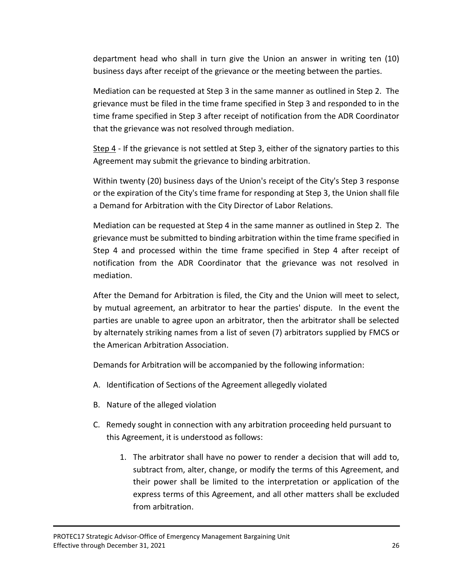department head who shall in turn give the Union an answer in writing ten (10) business days after receipt of the grievance or the meeting between the parties.

Mediation can be requested at Step 3 in the same manner as outlined in Step 2. The grievance must be filed in the time frame specified in Step 3 and responded to in the time frame specified in Step 3 after receipt of notification from the ADR Coordinator that the grievance was not resolved through mediation.

Step 4 - If the grievance is not settled at Step 3, either of the signatory parties to this Agreement may submit the grievance to binding arbitration.

Within twenty (20) business days of the Union's receipt of the City's Step 3 response or the expiration of the City's time frame for responding at Step 3, the Union shall file a Demand for Arbitration with the City Director of Labor Relations.

Mediation can be requested at Step 4 in the same manner as outlined in Step 2. The grievance must be submitted to binding arbitration within the time frame specified in Step 4 and processed within the time frame specified in Step 4 after receipt of notification from the ADR Coordinator that the grievance was not resolved in mediation.

After the Demand for Arbitration is filed, the City and the Union will meet to select, by mutual agreement, an arbitrator to hear the parties' dispute. In the event the parties are unable to agree upon an arbitrator, then the arbitrator shall be selected by alternately striking names from a list of seven (7) arbitrators supplied by FMCS or the American Arbitration Association.

Demands for Arbitration will be accompanied by the following information:

- A. Identification of Sections of the Agreement allegedly violated
- B. Nature of the alleged violation
- C. Remedy sought in connection with any arbitration proceeding held pursuant to this Agreement, it is understood as follows:
	- 1. The arbitrator shall have no power to render a decision that will add to, subtract from, alter, change, or modify the terms of this Agreement, and their power shall be limited to the interpretation or application of the express terms of this Agreement, and all other matters shall be excluded from arbitration.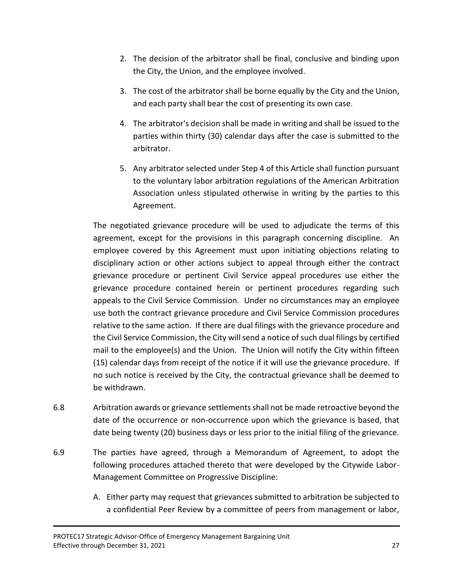- 2. The decision of the arbitrator shall be final, conclusive and binding upon the City, the Union, and the employee involved.
- 3. The cost of the arbitrator shall be borne equally by the City and the Union, and each party shall bear the cost of presenting its own case.
- 4. The arbitrator's decision shall be made in writing and shall be issued to the parties within thirty (30) calendar days after the case is submitted to the arbitrator.
- 5. Any arbitrator selected under Step 4 of this Article shall function pursuant to the voluntary labor arbitration regulations of the American Arbitration Association unless stipulated otherwise in writing by the parties to this Agreement.

The negotiated grievance procedure will be used to adjudicate the terms of this agreement, except for the provisions in this paragraph concerning discipline. An employee covered by this Agreement must upon initiating objections relating to disciplinary action or other actions subject to appeal through either the contract grievance procedure or pertinent Civil Service appeal procedures use either the grievance procedure contained herein or pertinent procedures regarding such appeals to the Civil Service Commission. Under no circumstances may an employee use both the contract grievance procedure and Civil Service Commission procedures relative to the same action. If there are dual filings with the grievance procedure and the Civil Service Commission, the City will send a notice of such dual filings by certified mail to the employee(s) and the Union. The Union will notify the City within fifteen (15) calendar days from receipt of the notice if it will use the grievance procedure. If no such notice is received by the City, the contractual grievance shall be deemed to be withdrawn.

- 6.8 Arbitration awards or grievance settlements shall not be made retroactive beyond the date of the occurrence or non-occurrence upon which the grievance is based, that date being twenty (20) business days or less prior to the initial filing of the grievance.
- 6.9 The parties have agreed, through a Memorandum of Agreement, to adopt the following procedures attached thereto that were developed by the Citywide Labor-Management Committee on Progressive Discipline:
	- A. Either party may request that grievances submitted to arbitration be subjected to a confidential Peer Review by a committee of peers from management or labor,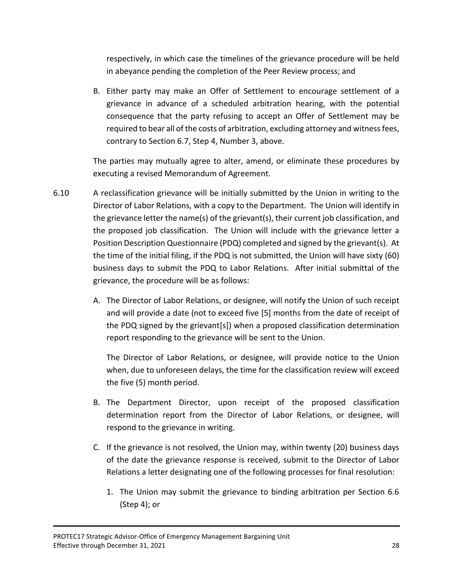respectively, in which case the timelines of the grievance procedure will be held in abeyance pending the completion of the Peer Review process; and

B. Either party may make an Offer of Settlement to encourage settlement of a grievance in advance of a scheduled arbitration hearing, with the potential consequence that the party refusing to accept an Offer of Settlement may be required to bear all of the costs of arbitration, excluding attorney and witness fees, contrary to Section 6.7, Step 4, Number 3, above.

The parties may mutually agree to alter, amend, or eliminate these procedures by executing a revised Memorandum of Agreement.

- 6.10 A reclassification grievance will be initially submitted by the Union in writing to the Director of Labor Relations, with a copy to the Department. The Union will identify in the grievance letter the name(s) of the grievant(s), their current job classification, and the proposed job classification. The Union will include with the grievance letter a Position Description Questionnaire (PDQ) completed and signed by the grievant(s). At the time of the initial filing, if the PDQ is not submitted, the Union will have sixty (60) business days to submit the PDQ to Labor Relations. After initial submittal of the grievance, the procedure will be as follows:
	- A. The Director of Labor Relations, or designee, will notify the Union of such receipt and will provide a date (not to exceed five [5] months from the date of receipt of the PDQ signed by the grievant[s]) when a proposed classification determination report responding to the grievance will be sent to the Union.

The Director of Labor Relations, or designee, will provide notice to the Union when, due to unforeseen delays, the time for the classification review will exceed the five (5) month period.

- B. The Department Director, upon receipt of the proposed classification determination report from the Director of Labor Relations, or designee, will respond to the grievance in writing.
- C. If the grievance is not resolved, the Union may, within twenty (20) business days of the date the grievance response is received, submit to the Director of Labor Relations a letter designating one of the following processes for final resolution:
	- 1. The Union may submit the grievance to binding arbitration per Section 6.6 (Step 4); or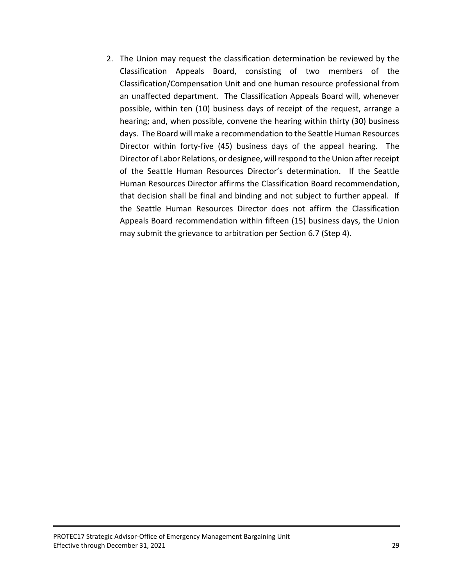2. The Union may request the classification determination be reviewed by the Classification Appeals Board, consisting of two members of the Classification/Compensation Unit and one human resource professional from an unaffected department. The Classification Appeals Board will, whenever possible, within ten (10) business days of receipt of the request, arrange a hearing; and, when possible, convene the hearing within thirty (30) business days. The Board will make a recommendation to the Seattle Human Resources Director within forty-five (45) business days of the appeal hearing. The Director of Labor Relations, or designee, will respond to the Union after receipt of the Seattle Human Resources Director's determination. If the Seattle Human Resources Director affirms the Classification Board recommendation, that decision shall be final and binding and not subject to further appeal. If the Seattle Human Resources Director does not affirm the Classification Appeals Board recommendation within fifteen (15) business days, the Union may submit the grievance to arbitration per Section 6.7 (Step 4).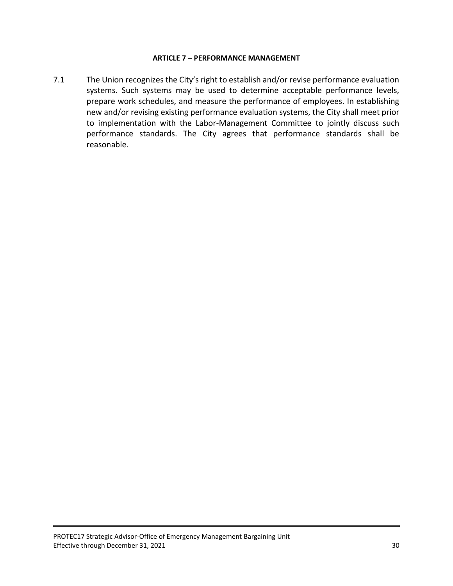#### **ARTICLE 7 – PERFORMANCE MANAGEMENT**

7.1 The Union recognizes the City's right to establish and/or revise performance evaluation systems. Such systems may be used to determine acceptable performance levels, prepare work schedules, and measure the performance of employees. In establishing new and/or revising existing performance evaluation systems, the City shall meet prior to implementation with the Labor-Management Committee to jointly discuss such performance standards. The City agrees that performance standards shall be reasonable.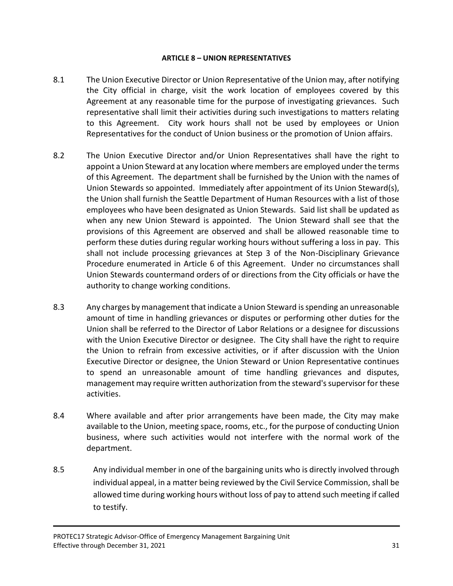#### **ARTICLE 8 – UNION REPRESENTATIVES**

- 8.1 The Union Executive Director or Union Representative of the Union may, after notifying the City official in charge, visit the work location of employees covered by this Agreement at any reasonable time for the purpose of investigating grievances. Such representative shall limit their activities during such investigations to matters relating to this Agreement. City work hours shall not be used by employees or Union Representatives for the conduct of Union business or the promotion of Union affairs.
- 8.2 The Union Executive Director and/or Union Representatives shall have the right to appoint a Union Steward at any location where members are employed under the terms of this Agreement. The department shall be furnished by the Union with the names of Union Stewards so appointed. Immediately after appointment of its Union Steward(s), the Union shall furnish the Seattle Department of Human Resources with a list of those employees who have been designated as Union Stewards. Said list shall be updated as when any new Union Steward is appointed. The Union Steward shall see that the provisions of this Agreement are observed and shall be allowed reasonable time to perform these duties during regular working hours without suffering a loss in pay. This shall not include processing grievances at Step 3 of the Non-Disciplinary Grievance Procedure enumerated in Article 6 of this Agreement. Under no circumstances shall Union Stewards countermand orders of or directions from the City officials or have the authority to change working conditions.
- 8.3 Any charges by management that indicate a Union Steward is spending an unreasonable amount of time in handling grievances or disputes or performing other duties for the Union shall be referred to the Director of Labor Relations or a designee for discussions with the Union Executive Director or designee. The City shall have the right to require the Union to refrain from excessive activities, or if after discussion with the Union Executive Director or designee, the Union Steward or Union Representative continues to spend an unreasonable amount of time handling grievances and disputes, management may require written authorization from the steward's supervisor for these activities.
- 8.4 Where available and after prior arrangements have been made, the City may make available to the Union, meeting space, rooms, etc., for the purpose of conducting Union business, where such activities would not interfere with the normal work of the department.
- 8.5 Any individual member in one of the bargaining units who is directly involved through individual appeal, in a matter being reviewed by the Civil Service Commission, shall be allowed time during working hours without loss of pay to attend such meeting if called to testify.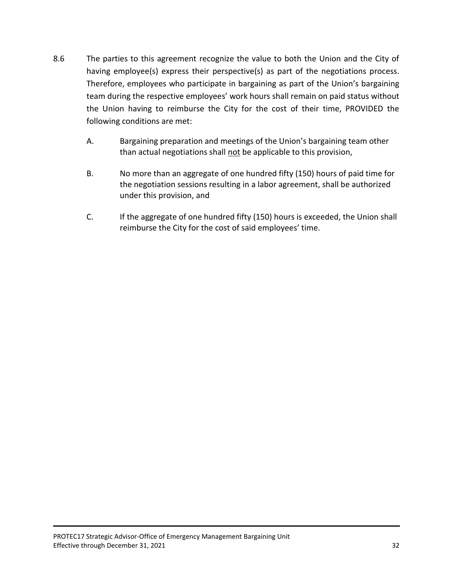- 8.6 The parties to this agreement recognize the value to both the Union and the City of having employee(s) express their perspective(s) as part of the negotiations process. Therefore, employees who participate in bargaining as part of the Union's bargaining team during the respective employees' work hours shall remain on paid status without the Union having to reimburse the City for the cost of their time, PROVIDED the following conditions are met:
	- A. Bargaining preparation and meetings of the Union's bargaining team other than actual negotiations shall not be applicable to this provision,
	- B. No more than an aggregate of one hundred fifty (150) hours of paid time for the negotiation sessions resulting in a labor agreement, shall be authorized under this provision, and
	- C. If the aggregate of one hundred fifty (150) hours is exceeded, the Union shall reimburse the City for the cost of said employees' time.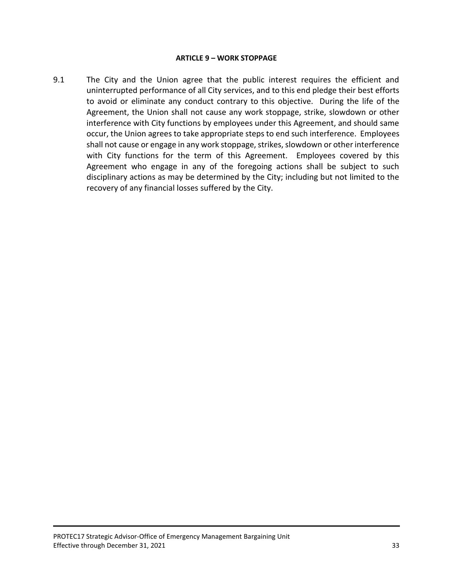#### **ARTICLE 9 – WORK STOPPAGE**

9.1 The City and the Union agree that the public interest requires the efficient and uninterrupted performance of all City services, and to this end pledge their best efforts to avoid or eliminate any conduct contrary to this objective. During the life of the Agreement, the Union shall not cause any work stoppage, strike, slowdown or other interference with City functions by employees under this Agreement, and should same occur, the Union agrees to take appropriate steps to end such interference. Employees shall not cause or engage in any work stoppage, strikes, slowdown or other interference with City functions for the term of this Agreement. Employees covered by this Agreement who engage in any of the foregoing actions shall be subject to such disciplinary actions as may be determined by the City; including but not limited to the recovery of any financial losses suffered by the City.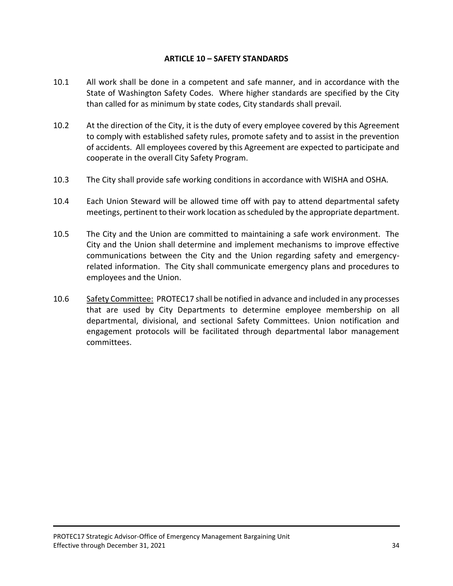### **ARTICLE 10 – SAFETY STANDARDS**

- 10.1 All work shall be done in a competent and safe manner, and in accordance with the State of Washington Safety Codes. Where higher standards are specified by the City than called for as minimum by state codes, City standards shall prevail.
- 10.2 At the direction of the City, it is the duty of every employee covered by this Agreement to comply with established safety rules, promote safety and to assist in the prevention of accidents. All employees covered by this Agreement are expected to participate and cooperate in the overall City Safety Program.
- 10.3 The City shall provide safe working conditions in accordance with WISHA and OSHA.
- 10.4 Each Union Steward will be allowed time off with pay to attend departmental safety meetings, pertinent to their work location as scheduled by the appropriate department.
- 10.5 The City and the Union are committed to maintaining a safe work environment. The City and the Union shall determine and implement mechanisms to improve effective communications between the City and the Union regarding safety and emergencyrelated information. The City shall communicate emergency plans and procedures to employees and the Union.
- 10.6 Safety Committee: PROTEC17 shall be notified in advance and included in any processes that are used by City Departments to determine employee membership on all departmental, divisional, and sectional Safety Committees. Union notification and engagement protocols will be facilitated through departmental labor management committees.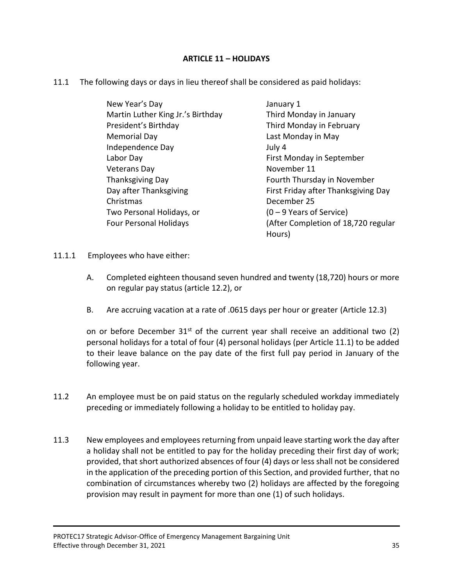# **ARTICLE 11 – HOLIDAYS**

11.1 The following days or days in lieu thereof shall be considered as paid holidays:

| New Year's Day                    | January 1                           |
|-----------------------------------|-------------------------------------|
| Martin Luther King Jr.'s Birthday | Third Monday in January             |
| President's Birthday              | Third Monday in February            |
| <b>Memorial Day</b>               | Last Monday in May                  |
| Independence Day                  | July 4                              |
| Labor Day                         | First Monday in September           |
| <b>Veterans Day</b>               | November 11                         |
| Thanksgiving Day                  | Fourth Thursday in November         |
| Day after Thanksgiving            | First Friday after Thanksgiving Day |
| Christmas                         | December 25                         |
| Two Personal Holidays, or         | $(0 - 9$ Years of Service)          |
| <b>Four Personal Holidays</b>     | (After Completion of 18,720 regular |
|                                   | Hours)                              |

- 11.1.1 Employees who have either:
	- A. Completed eighteen thousand seven hundred and twenty (18,720) hours or more on regular pay status (article 12.2), or
	- B. Are accruing vacation at a rate of .0615 days per hour or greater (Article 12.3)

on or before December  $31<sup>st</sup>$  of the current year shall receive an additional two (2) personal holidays for a total of four (4) personal holidays (per Article 11.1) to be added to their leave balance on the pay date of the first full pay period in January of the following year.

- 11.2 An employee must be on paid status on the regularly scheduled workday immediately preceding or immediately following a holiday to be entitled to holiday pay.
- 11.3 New employees and employees returning from unpaid leave starting work the day after a holiday shall not be entitled to pay for the holiday preceding their first day of work; provided, that short authorized absences of four (4) days or less shall not be considered in the application of the preceding portion of this Section, and provided further, that no combination of circumstances whereby two (2) holidays are affected by the foregoing provision may result in payment for more than one (1) of such holidays.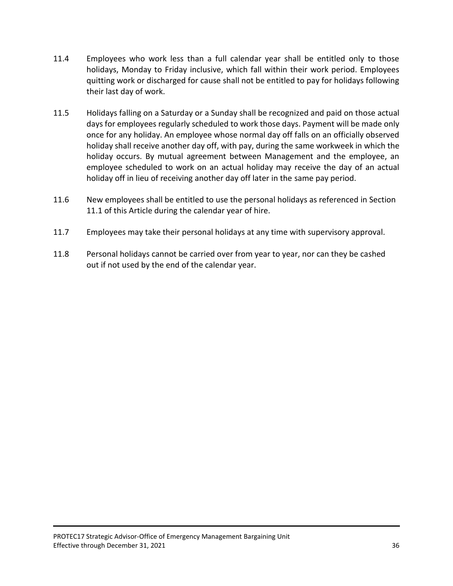- 11.4 Employees who work less than a full calendar year shall be entitled only to those holidays, Monday to Friday inclusive, which fall within their work period. Employees quitting work or discharged for cause shall not be entitled to pay for holidays following their last day of work.
- 11.5 Holidays falling on a Saturday or a Sunday shall be recognized and paid on those actual days for employees regularly scheduled to work those days. Payment will be made only once for any holiday. An employee whose normal day off falls on an officially observed holiday shall receive another day off, with pay, during the same workweek in which the holiday occurs. By mutual agreement between Management and the employee, an employee scheduled to work on an actual holiday may receive the day of an actual holiday off in lieu of receiving another day off later in the same pay period.
- 11.6 New employees shall be entitled to use the personal holidays as referenced in Section 11.1 of this Article during the calendar year of hire.
- 11.7 Employees may take their personal holidays at any time with supervisory approval.
- 11.8 Personal holidays cannot be carried over from year to year, nor can they be cashed out if not used by the end of the calendar year.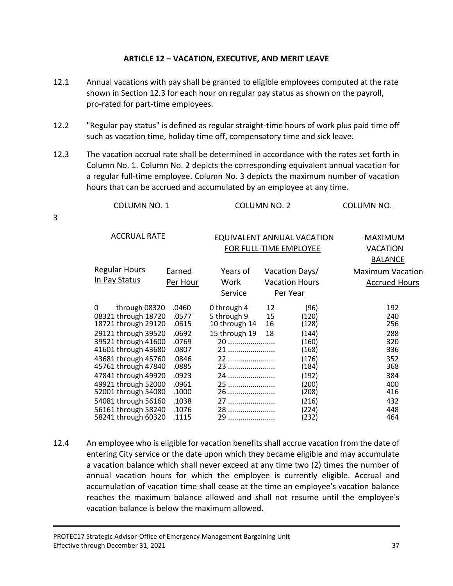# **ARTICLE 12 – VACATION, EXECUTIVE, AND MERIT LEAVE**

- 12.1 Annual vacations with pay shall be granted to eligible employees computed at the rate shown in Section 12.3 for each hour on regular pay status as shown on the payroll, pro-rated for part-time employees.
- 12.2 "Regular pay status" is defined as regular straight-time hours of work plus paid time off such as vacation time, holiday time off, compensatory time and sick leave.
- 12.3 The vacation accrual rate shall be determined in accordance with the rates set forth in Column No. 1. Column No. 2 depicts the corresponding equivalent annual vacation for a regular full-time employee. Column No. 3 depicts the maximum number of vacation hours that can be accrued and accumulated by an employee at any time.

|  | COLUMN NO. 1 | <b>COLUMN NO. 2</b> | COLUMN NO. |
|--|--------------|---------------------|------------|
|--|--------------|---------------------|------------|

3

| <b>ACCRUAL RATE</b>       | <b>EQUIVALENT ANNUAL VACATION</b> |                        | MAXIMUM |                       |                         |
|---------------------------|-----------------------------------|------------------------|---------|-----------------------|-------------------------|
|                           |                                   | FOR FULL-TIME EMPLOYEE |         | VACATION              |                         |
|                           |                                   |                        |         |                       | <b>BALANCE</b>          |
| <b>Regular Hours</b>      | Earned                            | Years of               |         | Vacation Days/        | <b>Maximum Vacation</b> |
| In Pay Status             | Per Hour                          | Work                   |         | <b>Vacation Hours</b> | <b>Accrued Hours</b>    |
|                           |                                   | Service                |         | Per Year              |                         |
| $\Omega$<br>through 08320 | .0460                             | 0 through 4            | 12      | (96)                  | 192                     |
| 08321 through 18720       | .0577                             | 5 through 9            | 15      | (120)                 | 240                     |
| 18721 through 29120       | .0615                             | 10 through 14          | 16      | (128)                 | 256                     |
| 29121 through 39520       | .0692                             | 15 through 19          | 18      | (144)                 | 288                     |
| 39521 through 41600       | .0769                             | 20                     |         | (160)                 | 320                     |
| 41601 through 43680       | .0807                             | 21                     |         | (168)                 | 336                     |
| 43681 through 45760       | .0846                             | 22                     |         | (176)                 | 352                     |
| 45761 through 47840       | .0885                             | 23                     |         | (184)                 | 368                     |
| 47841 through 49920       | .0923                             | 24                     |         | (192)                 | 384                     |
| 49921 through 52000       | .0961                             | 25                     |         | (200)                 | 400                     |
| 52001 through 54080       | .1000                             | 26                     |         | (208)                 | 416                     |
| 54081 through 56160       | .1038                             | 27                     |         | (216)                 | 432                     |
| 56161 through 58240       | .1076                             | 28                     |         | (224)                 | 448                     |
| 58241 through 60320       | .1115                             | 29                     |         | (232)                 | 464                     |
|                           |                                   |                        |         |                       |                         |

12.4 An employee who is eligible for vacation benefits shall accrue vacation from the date of entering City service or the date upon which they became eligible and may accumulate a vacation balance which shall never exceed at any time two (2) times the number of annual vacation hours for which the employee is currently eligible. Accrual and accumulation of vacation time shall cease at the time an employee's vacation balance reaches the maximum balance allowed and shall not resume until the employee's vacation balance is below the maximum allowed.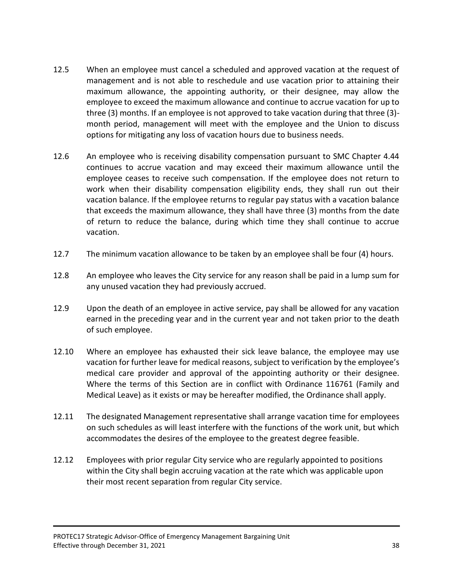- 12.5 When an employee must cancel a scheduled and approved vacation at the request of management and is not able to reschedule and use vacation prior to attaining their maximum allowance, the appointing authority, or their designee, may allow the employee to exceed the maximum allowance and continue to accrue vacation for up to three (3) months. If an employee is not approved to take vacation during that three (3) month period, management will meet with the employee and the Union to discuss options for mitigating any loss of vacation hours due to business needs.
- 12.6 An employee who is receiving disability compensation pursuant to SMC Chapter 4.44 continues to accrue vacation and may exceed their maximum allowance until the employee ceases to receive such compensation. If the employee does not return to work when their disability compensation eligibility ends, they shall run out their vacation balance. If the employee returns to regular pay status with a vacation balance that exceeds the maximum allowance, they shall have three (3) months from the date of return to reduce the balance, during which time they shall continue to accrue vacation.
- 12.7 The minimum vacation allowance to be taken by an employee shall be four (4) hours.
- 12.8 An employee who leaves the City service for any reason shall be paid in a lump sum for any unused vacation they had previously accrued.
- 12.9 Upon the death of an employee in active service, pay shall be allowed for any vacation earned in the preceding year and in the current year and not taken prior to the death of such employee.
- 12.10 Where an employee has exhausted their sick leave balance, the employee may use vacation for further leave for medical reasons, subject to verification by the employee's medical care provider and approval of the appointing authority or their designee. Where the terms of this Section are in conflict with Ordinance 116761 (Family and Medical Leave) as it exists or may be hereafter modified, the Ordinance shall apply.
- 12.11 The designated Management representative shall arrange vacation time for employees on such schedules as will least interfere with the functions of the work unit, but which accommodates the desires of the employee to the greatest degree feasible.
- 12.12 Employees with prior regular City service who are regularly appointed to positions within the City shall begin accruing vacation at the rate which was applicable upon their most recent separation from regular City service.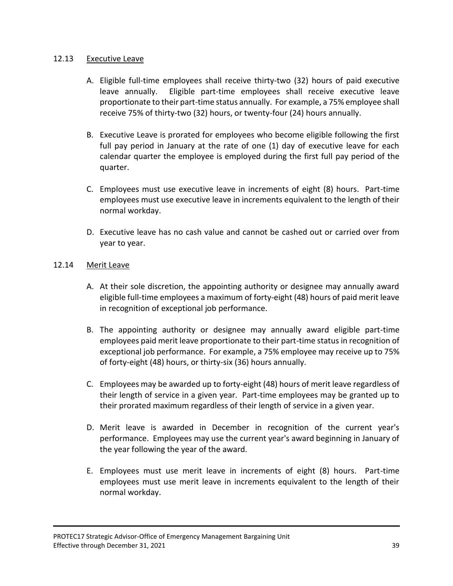# 12.13 Executive Leave

- A. Eligible full-time employees shall receive thirty-two (32) hours of paid executive leave annually. Eligible part-time employees shall receive executive leave proportionate to their part-time status annually. For example, a 75% employee shall receive 75% of thirty-two (32) hours, or twenty-four (24) hours annually.
- B. Executive Leave is prorated for employees who become eligible following the first full pay period in January at the rate of one (1) day of executive leave for each calendar quarter the employee is employed during the first full pay period of the quarter.
- C. Employees must use executive leave in increments of eight (8) hours. Part-time employees must use executive leave in increments equivalent to the length of their normal workday.
- D. Executive leave has no cash value and cannot be cashed out or carried over from year to year.

# 12.14 Merit Leave

- A. At their sole discretion, the appointing authority or designee may annually award eligible full-time employees a maximum of forty-eight (48) hours of paid merit leave in recognition of exceptional job performance.
- B. The appointing authority or designee may annually award eligible part-time employees paid merit leave proportionate to their part-time status in recognition of exceptional job performance. For example, a 75% employee may receive up to 75% of forty-eight (48) hours, or thirty-six (36) hours annually.
- C. Employees may be awarded up to forty-eight (48) hours of merit leave regardless of their length of service in a given year. Part-time employees may be granted up to their prorated maximum regardless of their length of service in a given year.
- D. Merit leave is awarded in December in recognition of the current year's performance. Employees may use the current year's award beginning in January of the year following the year of the award.
- E. Employees must use merit leave in increments of eight (8) hours. Part-time employees must use merit leave in increments equivalent to the length of their normal workday.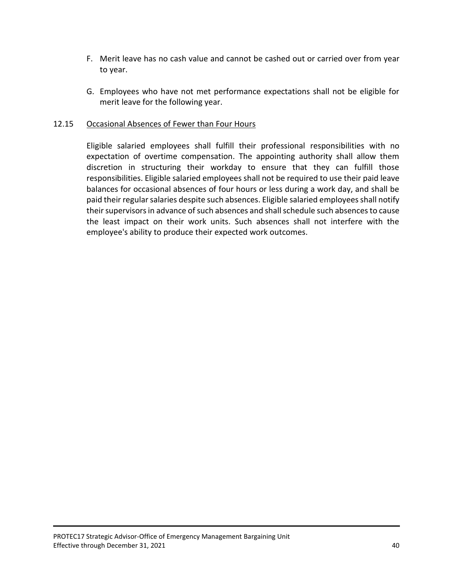- F. Merit leave has no cash value and cannot be cashed out or carried over from year to year.
- G. Employees who have not met performance expectations shall not be eligible for merit leave for the following year.

# 12.15 Occasional Absences of Fewer than Four Hours

Eligible salaried employees shall fulfill their professional responsibilities with no expectation of overtime compensation. The appointing authority shall allow them discretion in structuring their workday to ensure that they can fulfill those responsibilities. Eligible salaried employees shall not be required to use their paid leave balances for occasional absences of four hours or less during a work day, and shall be paid their regular salaries despite such absences. Eligible salaried employees shall notify their supervisors in advance of such absences and shall schedule such absences to cause the least impact on their work units. Such absences shall not interfere with the employee's ability to produce their expected work outcomes.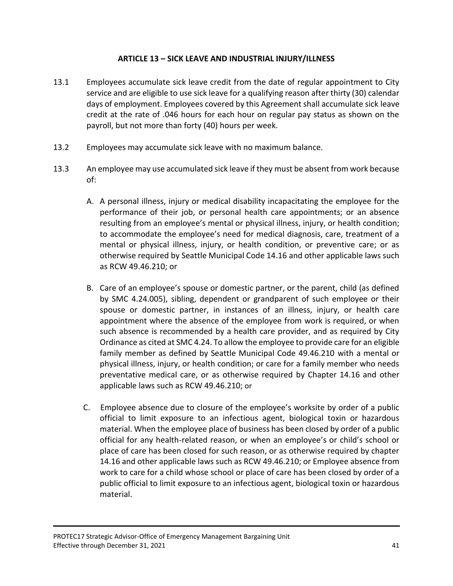# **ARTICLE 13 – SICK LEAVE AND INDUSTRIAL INJURY/ILLNESS**

- 13.1 Employees accumulate sick leave credit from the date of regular appointment to City service and are eligible to use sick leave for a qualifying reason after thirty (30) calendar days of employment. Employees covered by this Agreement shall accumulate sick leave credit at the rate of .046 hours for each hour on regular pay status as shown on the payroll, but not more than forty (40) hours per week.
- 13.2 Employees may accumulate sick leave with no maximum balance.
- 13.3 An employee may use accumulated sick leave if they must be absent from work because of:
	- A. A personal illness, injury or medical disability incapacitating the employee for the performance of their job, or personal health care appointments; or an absence resulting from an employee's mental or physical illness, injury, or health condition; to accommodate the employee's need for medical diagnosis, care, treatment of a mental or physical illness, injury, or health condition, or preventive care; or as otherwise required by Seattle Municipal Code 14.16 and other applicable laws such as RCW 49.46.210; or
	- B. Care of an employee's spouse or domestic partner, or the parent, child (as defined by SMC 4.24.005), sibling, dependent or grandparent of such employee or their spouse or domestic partner, in instances of an illness, injury, or health care appointment where the absence of the employee from work is required, or when such absence is recommended by a health care provider, and as required by City Ordinance as cited at SMC 4.24. To allow the employee to provide care for an eligible family member as defined by Seattle Municipal Code 49.46.210 with a mental or physical illness, injury, or health condition; or care for a family member who needs preventative medical care, or as otherwise required by Chapter 14.16 and other applicable laws such as RCW 49.46.210; or
	- C. Employee absence due to closure of the employee's worksite by order of a public official to limit exposure to an infectious agent, biological toxin or hazardous material. When the employee place of business has been closed by order of a public official for any health-related reason, or when an employee's or child's school or place of care has been closed for such reason, or as otherwise required by chapter 14.16 and other applicable laws such as RCW 49.46.210; or Employee absence from work to care for a child whose school or place of care has been closed by order of a public official to limit exposure to an infectious agent, biological toxin or hazardous material.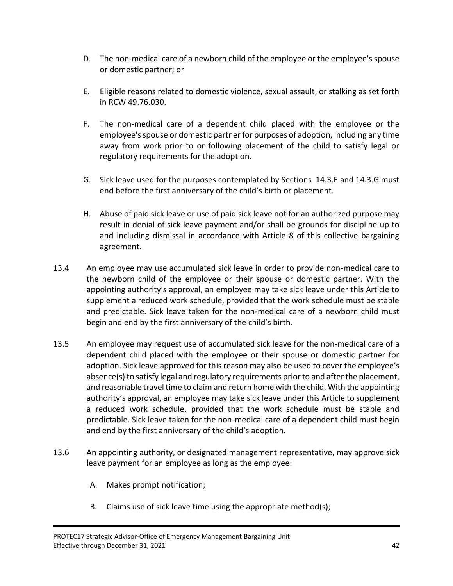- D. The non-medical care of a newborn child of the employee or the employee's spouse or domestic partner; or
- E. Eligible reasons related to domestic violence, sexual assault, or stalking as set forth in RCW 49.76.030.
- F. The non-medical care of a dependent child placed with the employee or the employee's spouse or domestic partner for purposes of adoption, including any time away from work prior to or following placement of the child to satisfy legal or regulatory requirements for the adoption.
- G. Sick leave used for the purposes contemplated by Sections 14.3.E and 14.3.G must end before the first anniversary of the child's birth or placement.
- H. Abuse of paid sick leave or use of paid sick leave not for an authorized purpose may result in denial of sick leave payment and/or shall be grounds for discipline up to and including dismissal in accordance with Article 8 of this collective bargaining agreement.
- 13.4 An employee may use accumulated sick leave in order to provide non-medical care to the newborn child of the employee or their spouse or domestic partner. With the appointing authority's approval, an employee may take sick leave under this Article to supplement a reduced work schedule, provided that the work schedule must be stable and predictable. Sick leave taken for the non-medical care of a newborn child must begin and end by the first anniversary of the child's birth.
- 13.5 An employee may request use of accumulated sick leave for the non-medical care of a dependent child placed with the employee or their spouse or domestic partner for adoption. Sick leave approved for this reason may also be used to cover the employee's absence(s) to satisfy legal and regulatory requirements prior to and after the placement, and reasonable travel time to claim and return home with the child. With the appointing authority's approval, an employee may take sick leave under this Article to supplement a reduced work schedule, provided that the work schedule must be stable and predictable. Sick leave taken for the non-medical care of a dependent child must begin and end by the first anniversary of the child's adoption.
- 13.6 An appointing authority, or designated management representative, may approve sick leave payment for an employee as long as the employee:
	- A. Makes prompt notification;
	- B. Claims use of sick leave time using the appropriate method(s);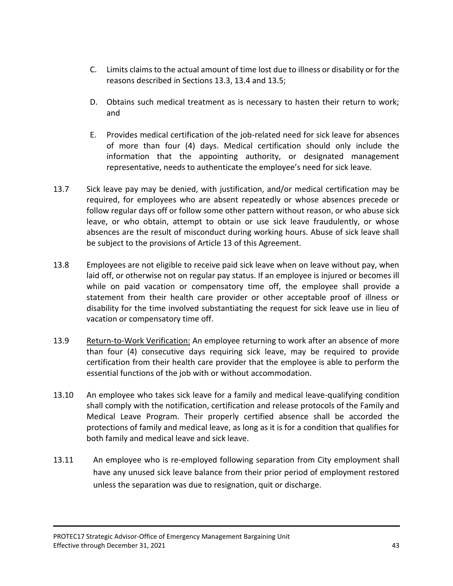- C. Limits claims to the actual amount of time lost due to illness or disability or for the reasons described in Sections 13.3, 13.4 and 13.5;
- D. Obtains such medical treatment as is necessary to hasten their return to work; and
- E. Provides medical certification of the job-related need for sick leave for absences of more than four (4) days. Medical certification should only include the information that the appointing authority, or designated management representative, needs to authenticate the employee's need for sick leave.
- 13.7 Sick leave pay may be denied, with justification, and/or medical certification may be required, for employees who are absent repeatedly or whose absences precede or follow regular days off or follow some other pattern without reason, or who abuse sick leave, or who obtain, attempt to obtain or use sick leave fraudulently, or whose absences are the result of misconduct during working hours. Abuse of sick leave shall be subject to the provisions of Article 13 of this Agreement.
- 13.8 Employees are not eligible to receive paid sick leave when on leave without pay, when laid off, or otherwise not on regular pay status. If an employee is injured or becomes ill while on paid vacation or compensatory time off, the employee shall provide a statement from their health care provider or other acceptable proof of illness or disability for the time involved substantiating the request for sick leave use in lieu of vacation or compensatory time off.
- 13.9 Return-to-Work Verification: An employee returning to work after an absence of more than four (4) consecutive days requiring sick leave, may be required to provide certification from their health care provider that the employee is able to perform the essential functions of the job with or without accommodation.
- 13.10 An employee who takes sick leave for a family and medical leave-qualifying condition shall comply with the notification, certification and release protocols of the Family and Medical Leave Program. Their properly certified absence shall be accorded the protections of family and medical leave, as long as it is for a condition that qualifies for both family and medical leave and sick leave.
- 13.11 An employee who is re-employed following separation from City employment shall have any unused sick leave balance from their prior period of employment restored unless the separation was due to resignation, quit or discharge.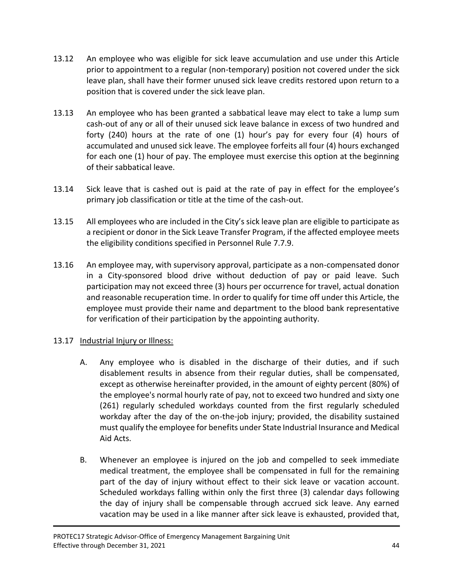- 13.12 An employee who was eligible for sick leave accumulation and use under this Article prior to appointment to a regular (non-temporary) position not covered under the sick leave plan, shall have their former unused sick leave credits restored upon return to a position that is covered under the sick leave plan.
- 13.13 An employee who has been granted a sabbatical leave may elect to take a lump sum cash-out of any or all of their unused sick leave balance in excess of two hundred and forty (240) hours at the rate of one (1) hour's pay for every four (4) hours of accumulated and unused sick leave. The employee forfeits all four (4) hours exchanged for each one (1) hour of pay. The employee must exercise this option at the beginning of their sabbatical leave.
- 13.14 Sick leave that is cashed out is paid at the rate of pay in effect for the employee's primary job classification or title at the time of the cash-out.
- 13.15 All employees who are included in the City's sick leave plan are eligible to participate as a recipient or donor in the Sick Leave Transfer Program, if the affected employee meets the eligibility conditions specified in Personnel Rule 7.7.9.
- 13.16 An employee may, with supervisory approval, participate as a non-compensated donor in a City-sponsored blood drive without deduction of pay or paid leave. Such participation may not exceed three (3) hours per occurrence for travel, actual donation and reasonable recuperation time. In order to qualify for time off under this Article, the employee must provide their name and department to the blood bank representative for verification of their participation by the appointing authority.

# 13.17 Industrial Injury or Illness:

- A. Any employee who is disabled in the discharge of their duties, and if such disablement results in absence from their regular duties, shall be compensated, except as otherwise hereinafter provided, in the amount of eighty percent (80%) of the employee's normal hourly rate of pay, not to exceed two hundred and sixty one (261) regularly scheduled workdays counted from the first regularly scheduled workday after the day of the on-the-job injury; provided, the disability sustained must qualify the employee for benefits under State Industrial Insurance and Medical Aid Acts.
- B. Whenever an employee is injured on the job and compelled to seek immediate medical treatment, the employee shall be compensated in full for the remaining part of the day of injury without effect to their sick leave or vacation account. Scheduled workdays falling within only the first three (3) calendar days following the day of injury shall be compensable through accrued sick leave. Any earned vacation may be used in a like manner after sick leave is exhausted, provided that,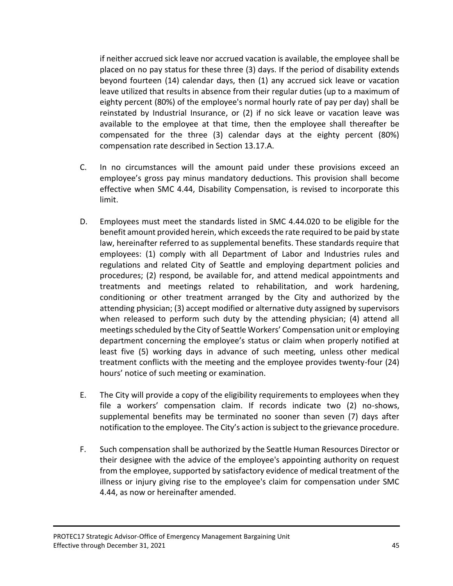if neither accrued sick leave nor accrued vacation is available, the employee shall be placed on no pay status for these three (3) days. If the period of disability extends beyond fourteen (14) calendar days, then (1) any accrued sick leave or vacation leave utilized that results in absence from their regular duties (up to a maximum of eighty percent (80%) of the employee's normal hourly rate of pay per day) shall be reinstated by Industrial Insurance, or (2) if no sick leave or vacation leave was available to the employee at that time, then the employee shall thereafter be compensated for the three (3) calendar days at the eighty percent (80%) compensation rate described in Section 13.17.A.

- C. In no circumstances will the amount paid under these provisions exceed an employee's gross pay minus mandatory deductions. This provision shall become effective when SMC 4.44, Disability Compensation, is revised to incorporate this limit.
- D. Employees must meet the standards listed in SMC 4.44.020 to be eligible for the benefit amount provided herein, which exceeds the rate required to be paid by state law, hereinafter referred to as supplemental benefits. These standards require that employees: (1) comply with all Department of Labor and Industries rules and regulations and related City of Seattle and employing department policies and procedures; (2) respond, be available for, and attend medical appointments and treatments and meetings related to rehabilitation, and work hardening, conditioning or other treatment arranged by the City and authorized by the attending physician; (3) accept modified or alternative duty assigned by supervisors when released to perform such duty by the attending physician; (4) attend all meetings scheduled by the City of Seattle Workers' Compensation unit or employing department concerning the employee's status or claim when properly notified at least five (5) working days in advance of such meeting, unless other medical treatment conflicts with the meeting and the employee provides twenty-four (24) hours' notice of such meeting or examination.
- E. The City will provide a copy of the eligibility requirements to employees when they file a workers' compensation claim. If records indicate two (2) no-shows, supplemental benefits may be terminated no sooner than seven (7) days after notification to the employee. The City's action is subject to the grievance procedure.
- F. Such compensation shall be authorized by the Seattle Human Resources Director or their designee with the advice of the employee's appointing authority on request from the employee, supported by satisfactory evidence of medical treatment of the illness or injury giving rise to the employee's claim for compensation under SMC 4.44, as now or hereinafter amended.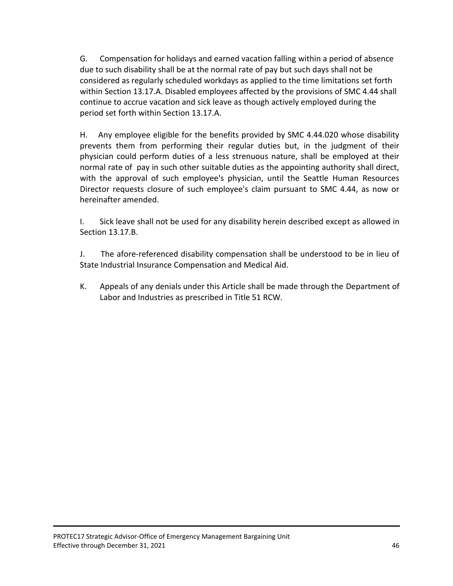G. Compensation for holidays and earned vacation falling within a period of absence due to such disability shall be at the normal rate of pay but such days shall not be considered as regularly scheduled workdays as applied to the time limitations set forth within Section 13.17.A. Disabled employees affected by the provisions of SMC 4.44 shall continue to accrue vacation and sick leave as though actively employed during the period set forth within Section 13.17.A.

H. Any employee eligible for the benefits provided by SMC 4.44.020 whose disability prevents them from performing their regular duties but, in the judgment of their physician could perform duties of a less strenuous nature, shall be employed at their normal rate of pay in such other suitable duties as the appointing authority shall direct, with the approval of such employee's physician, until the Seattle Human Resources Director requests closure of such employee's claim pursuant to SMC 4.44, as now or hereinafter amended.

I. Sick leave shall not be used for any disability herein described except as allowed in Section 13.17.B.

J. The afore-referenced disability compensation shall be understood to be in lieu of State Industrial Insurance Compensation and Medical Aid.

K. Appeals of any denials under this Article shall be made through the Department of Labor and Industries as prescribed in Title 51 RCW.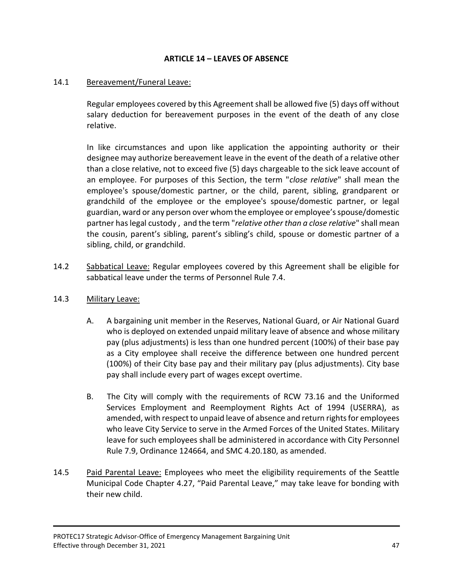# **ARTICLE 14 – LEAVES OF ABSENCE**

## 14.1 Bereavement/Funeral Leave:

Regular employees covered by this Agreement shall be allowed five (5) days off without salary deduction for bereavement purposes in the event of the death of any close relative.

In like circumstances and upon like application the appointing authority or their designee may authorize bereavement leave in the event of the death of a relative other than a close relative, not to exceed five (5) days chargeable to the sick leave account of an employee. For purposes of this Section, the term "*close relative*" shall mean the employee's spouse/domestic partner, or the child, parent, sibling, grandparent or grandchild of the employee or the employee's spouse/domestic partner, or legal guardian, ward or any person over whom the employee or employee's spouse/domestic partner has legal custody , and the term "*relative other than a close relative*" shall mean the cousin, parent's sibling, parent's sibling's child, spouse or domestic partner of a sibling, child, or grandchild.

14.2 Sabbatical Leave: Regular employees covered by this Agreement shall be eligible for sabbatical leave under the terms of Personnel Rule 7.4.

#### 14.3 Military Leave:

- A. A bargaining unit member in the Reserves, National Guard, or Air National Guard who is deployed on extended unpaid military leave of absence and whose military pay (plus adjustments) is less than one hundred percent (100%) of their base pay as a City employee shall receive the difference between one hundred percent (100%) of their City base pay and their military pay (plus adjustments). City base pay shall include every part of wages except overtime.
- B. The City will comply with the requirements of RCW 73.16 and the Uniformed Services Employment and Reemployment Rights Act of 1994 (USERRA), as amended, with respect to unpaid leave of absence and return rights for employees who leave City Service to serve in the Armed Forces of the United States. Military leave for such employees shall be administered in accordance with City Personnel Rule 7.9, Ordinance 124664, and SMC 4.20.180, as amended.
- 14.5 Paid Parental Leave: Employees who meet the eligibility requirements of the Seattle Municipal Code Chapter 4.27, "Paid Parental Leave," may take leave for bonding with their new child.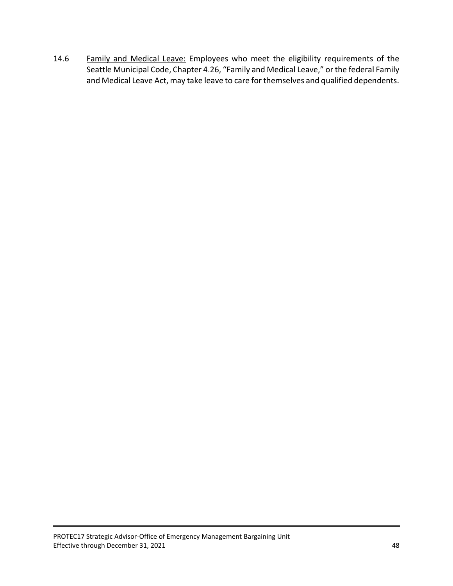14.6 Family and Medical Leave: Employees who meet the eligibility requirements of the Seattle Municipal Code, Chapter 4.26, "Family and Medical Leave," or the federal Family and Medical Leave Act, may take leave to care for themselves and qualified dependents.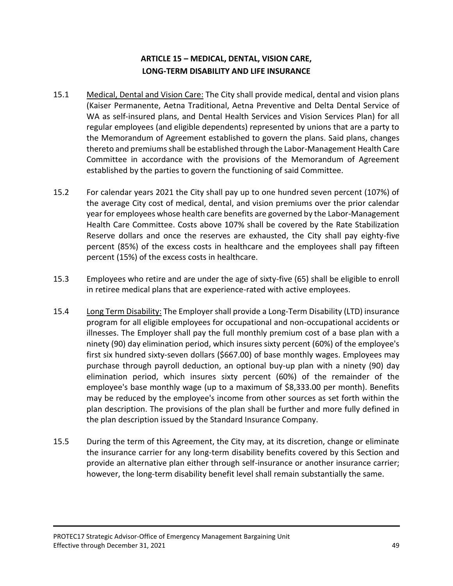# **ARTICLE 15 – MEDICAL, DENTAL, VISION CARE, LONG-TERM DISABILITY AND LIFE INSURANCE**

- 15.1 Medical, Dental and Vision Care: The City shall provide medical, dental and vision plans (Kaiser Permanente, Aetna Traditional, Aetna Preventive and Delta Dental Service of WA as self-insured plans, and Dental Health Services and Vision Services Plan) for all regular employees (and eligible dependents) represented by unions that are a party to the Memorandum of Agreement established to govern the plans. Said plans, changes thereto and premiums shall be established through the Labor-Management Health Care Committee in accordance with the provisions of the Memorandum of Agreement established by the parties to govern the functioning of said Committee.
- 15.2 For calendar years 2021 the City shall pay up to one hundred seven percent (107%) of the average City cost of medical, dental, and vision premiums over the prior calendar year for employees whose health care benefits are governed by the Labor-Management Health Care Committee. Costs above 107% shall be covered by the Rate Stabilization Reserve dollars and once the reserves are exhausted, the City shall pay eighty-five percent (85%) of the excess costs in healthcare and the employees shall pay fifteen percent (15%) of the excess costs in healthcare.
- 15.3 Employees who retire and are under the age of sixty-five (65) shall be eligible to enroll in retiree medical plans that are experience-rated with active employees.
- 15.4 Long Term Disability: The Employer shall provide a Long-Term Disability (LTD) insurance program for all eligible employees for occupational and non-occupational accidents or illnesses. The Employer shall pay the full monthly premium cost of a base plan with a ninety (90) day elimination period, which insures sixty percent (60%) of the employee's first six hundred sixty-seven dollars (\$667.00) of base monthly wages. Employees may purchase through payroll deduction, an optional buy-up plan with a ninety (90) day elimination period, which insures sixty percent (60%) of the remainder of the employee's base monthly wage (up to a maximum of \$8,333.00 per month). Benefits may be reduced by the employee's income from other sources as set forth within the plan description. The provisions of the plan shall be further and more fully defined in the plan description issued by the Standard Insurance Company.
- 15.5 During the term of this Agreement, the City may, at its discretion, change or eliminate the insurance carrier for any long-term disability benefits covered by this Section and provide an alternative plan either through self-insurance or another insurance carrier; however, the long-term disability benefit level shall remain substantially the same.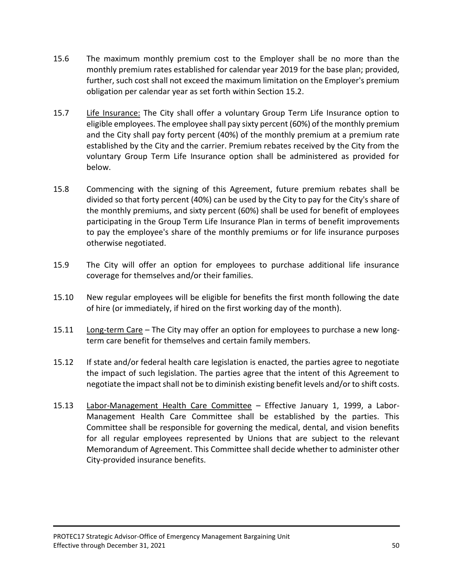- 15.6 The maximum monthly premium cost to the Employer shall be no more than the monthly premium rates established for calendar year 2019 for the base plan; provided, further, such cost shall not exceed the maximum limitation on the Employer's premium obligation per calendar year as set forth within Section 15.2.
- 15.7 Life Insurance: The City shall offer a voluntary Group Term Life Insurance option to eligible employees. The employee shall pay sixty percent (60%) of the monthly premium and the City shall pay forty percent (40%) of the monthly premium at a premium rate established by the City and the carrier. Premium rebates received by the City from the voluntary Group Term Life Insurance option shall be administered as provided for below.
- 15.8 Commencing with the signing of this Agreement, future premium rebates shall be divided so that forty percent (40%) can be used by the City to pay for the City's share of the monthly premiums, and sixty percent (60%) shall be used for benefit of employees participating in the Group Term Life Insurance Plan in terms of benefit improvements to pay the employee's share of the monthly premiums or for life insurance purposes otherwise negotiated.
- 15.9 The City will offer an option for employees to purchase additional life insurance coverage for themselves and/or their families.
- 15.10 New regular employees will be eligible for benefits the first month following the date of hire (or immediately, if hired on the first working day of the month).
- 15.11 Long-term Care The City may offer an option for employees to purchase a new longterm care benefit for themselves and certain family members.
- 15.12 If state and/or federal health care legislation is enacted, the parties agree to negotiate the impact of such legislation. The parties agree that the intent of this Agreement to negotiate the impact shall not be to diminish existing benefit levels and/or to shift costs.
- 15.13 Labor-Management Health Care Committee Effective January 1, 1999, a Labor-Management Health Care Committee shall be established by the parties. This Committee shall be responsible for governing the medical, dental, and vision benefits for all regular employees represented by Unions that are subject to the relevant Memorandum of Agreement. This Committee shall decide whether to administer other City-provided insurance benefits.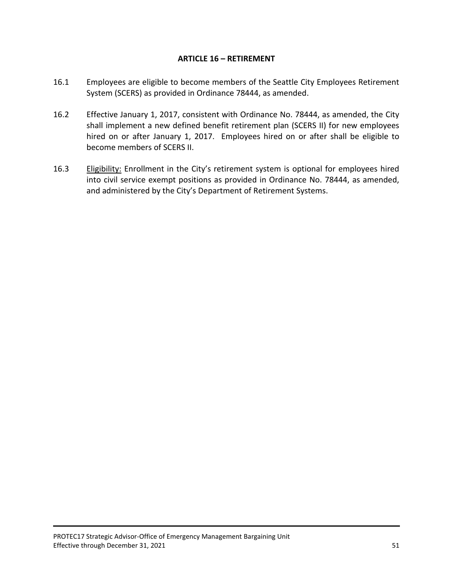## **ARTICLE 16 – RETIREMENT**

- 16.1 Employees are eligible to become members of the Seattle City Employees Retirement System (SCERS) as provided in Ordinance 78444, as amended.
- 16.2 Effective January 1, 2017, consistent with Ordinance No. 78444, as amended, the City shall implement a new defined benefit retirement plan (SCERS II) for new employees hired on or after January 1, 2017. Employees hired on or after shall be eligible to become members of SCERS II.
- 16.3 Eligibility: Enrollment in the City's retirement system is optional for employees hired into civil service exempt positions as provided in Ordinance No. 78444, as amended, and administered by the City's Department of Retirement Systems.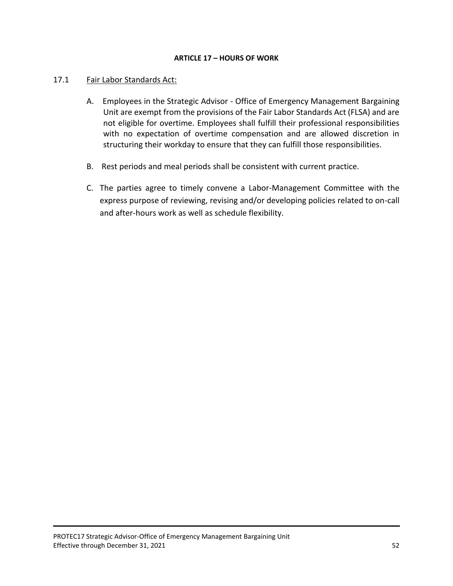#### **ARTICLE 17 – HOURS OF WORK**

## 17.1 Fair Labor Standards Act:

- A. Employees in the Strategic Advisor Office of Emergency Management Bargaining Unit are exempt from the provisions of the Fair Labor Standards Act (FLSA) and are not eligible for overtime. Employees shall fulfill their professional responsibilities with no expectation of overtime compensation and are allowed discretion in structuring their workday to ensure that they can fulfill those responsibilities.
- B. Rest periods and meal periods shall be consistent with current practice.
- C. The parties agree to timely convene a Labor-Management Committee with the express purpose of reviewing, revising and/or developing policies related to on-call and after-hours work as well as schedule flexibility.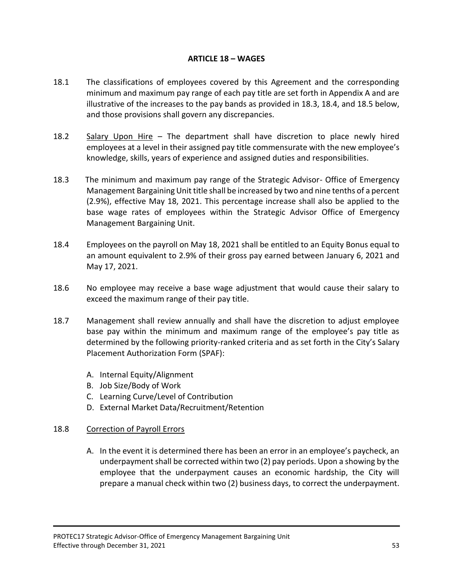# **ARTICLE 18 – WAGES**

- 18.1 The classifications of employees covered by this Agreement and the corresponding minimum and maximum pay range of each pay title are set forth in Appendix A and are illustrative of the increases to the pay bands as provided in 18.3, 18.4, and 18.5 below, and those provisions shall govern any discrepancies.
- 18.2 Salary Upon Hire The department shall have discretion to place newly hired employees at a level in their assigned pay title commensurate with the new employee's knowledge, skills, years of experience and assigned duties and responsibilities.
- 18.3 The minimum and maximum pay range of the Strategic Advisor- Office of Emergency Management Bargaining Unit title shall be increased by two and nine tenths of a percent (2.9%), effective May 18, 2021. This percentage increase shall also be applied to the base wage rates of employees within the Strategic Advisor Office of Emergency Management Bargaining Unit.
- 18.4 Employees on the payroll on May 18, 2021 shall be entitled to an Equity Bonus equal to an amount equivalent to 2.9% of their gross pay earned between January 6, 2021 and May 17, 2021.
- 18.6 No employee may receive a base wage adjustment that would cause their salary to exceed the maximum range of their pay title.
- 18.7 Management shall review annually and shall have the discretion to adjust employee base pay within the minimum and maximum range of the employee's pay title as determined by the following priority-ranked criteria and as set forth in the City's Salary Placement Authorization Form (SPAF):
	- A. Internal Equity/Alignment
	- B. Job Size/Body of Work
	- C. Learning Curve/Level of Contribution
	- D. External Market Data/Recruitment/Retention

# 18.8 Correction of Payroll Errors

A. In the event it is determined there has been an error in an employee's paycheck, an underpayment shall be corrected within two (2) pay periods. Upon a showing by the employee that the underpayment causes an economic hardship, the City will prepare a manual check within two (2) business days, to correct the underpayment.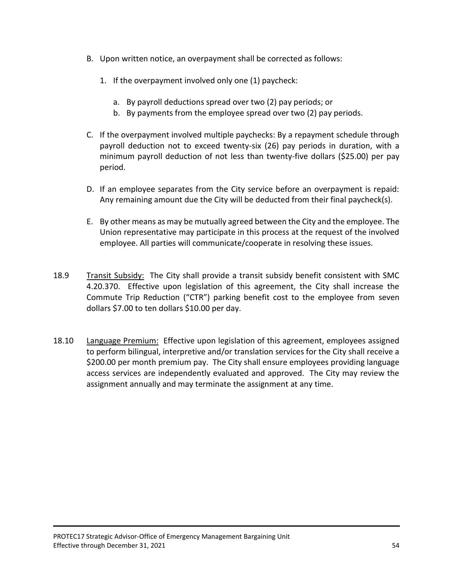- B. Upon written notice, an overpayment shall be corrected as follows:
	- 1. If the overpayment involved only one (1) paycheck:
		- a. By payroll deductions spread over two (2) pay periods; or
		- b. By payments from the employee spread over two (2) pay periods.
- C. If the overpayment involved multiple paychecks: By a repayment schedule through payroll deduction not to exceed twenty-six (26) pay periods in duration, with a minimum payroll deduction of not less than twenty-five dollars (\$25.00) per pay period.
- D. If an employee separates from the City service before an overpayment is repaid: Any remaining amount due the City will be deducted from their final paycheck(s).
- E. By other means as may be mutually agreed between the City and the employee. The Union representative may participate in this process at the request of the involved employee. All parties will communicate/cooperate in resolving these issues.
- 18.9 Transit Subsidy: The City shall provide a transit subsidy benefit consistent with SMC 4.20.370. Effective upon legislation of this agreement, the City shall increase the Commute Trip Reduction ("CTR") parking benefit cost to the employee from seven dollars \$7.00 to ten dollars \$10.00 per day.
- 18.10 Language Premium: Effective upon legislation of this agreement, employees assigned to perform bilingual, interpretive and/or translation services for the City shall receive a \$200.00 per month premium pay. The City shall ensure employees providing language access services are independently evaluated and approved. The City may review the assignment annually and may terminate the assignment at any time.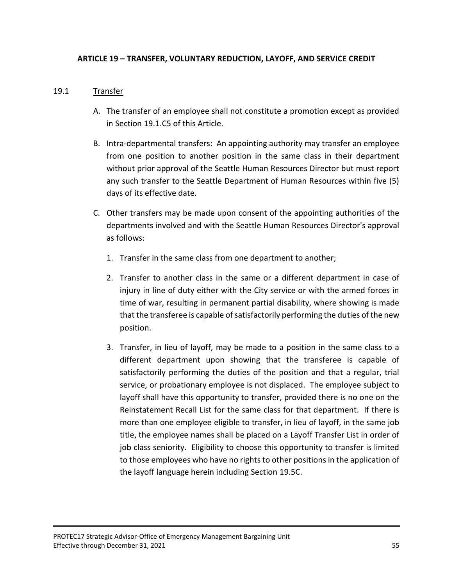# **ARTICLE 19 – TRANSFER, VOLUNTARY REDUCTION, LAYOFF, AND SERVICE CREDIT**

# 19.1 Transfer

- A. The transfer of an employee shall not constitute a promotion except as provided in Section 19.1.C5 of this Article.
- B. Intra-departmental transfers: An appointing authority may transfer an employee from one position to another position in the same class in their department without prior approval of the Seattle Human Resources Director but must report any such transfer to the Seattle Department of Human Resources within five (5) days of its effective date.
- C. Other transfers may be made upon consent of the appointing authorities of the departments involved and with the Seattle Human Resources Director's approval as follows:
	- 1. Transfer in the same class from one department to another;
	- 2. Transfer to another class in the same or a different department in case of injury in line of duty either with the City service or with the armed forces in time of war, resulting in permanent partial disability, where showing is made that the transferee is capable of satisfactorily performing the duties of the new position.
	- 3. Transfer, in lieu of layoff, may be made to a position in the same class to a different department upon showing that the transferee is capable of satisfactorily performing the duties of the position and that a regular, trial service, or probationary employee is not displaced. The employee subject to layoff shall have this opportunity to transfer, provided there is no one on the Reinstatement Recall List for the same class for that department. If there is more than one employee eligible to transfer, in lieu of layoff, in the same job title, the employee names shall be placed on a Layoff Transfer List in order of job class seniority. Eligibility to choose this opportunity to transfer is limited to those employees who have no rights to other positions in the application of the layoff language herein including Section 19.5C.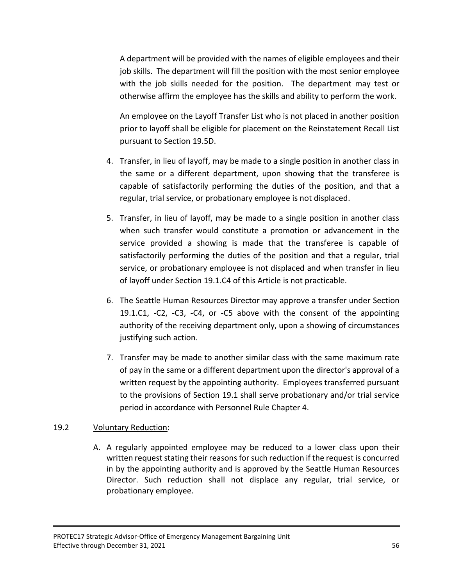A department will be provided with the names of eligible employees and their job skills. The department will fill the position with the most senior employee with the job skills needed for the position. The department may test or otherwise affirm the employee has the skills and ability to perform the work.

An employee on the Layoff Transfer List who is not placed in another position prior to layoff shall be eligible for placement on the Reinstatement Recall List pursuant to Section 19.5D.

- 4. Transfer, in lieu of layoff, may be made to a single position in another class in the same or a different department, upon showing that the transferee is capable of satisfactorily performing the duties of the position, and that a regular, trial service, or probationary employee is not displaced.
- 5. Transfer, in lieu of layoff, may be made to a single position in another class when such transfer would constitute a promotion or advancement in the service provided a showing is made that the transferee is capable of satisfactorily performing the duties of the position and that a regular, trial service, or probationary employee is not displaced and when transfer in lieu of layoff under Section 19.1.C4 of this Article is not practicable.
- 6. The Seattle Human Resources Director may approve a transfer under Section 19.1.C1, -C2, -C3, -C4, or -C5 above with the consent of the appointing authority of the receiving department only, upon a showing of circumstances justifying such action.
- 7. Transfer may be made to another similar class with the same maximum rate of pay in the same or a different department upon the director's approval of a written request by the appointing authority. Employees transferred pursuant to the provisions of Section 19.1 shall serve probationary and/or trial service period in accordance with Personnel Rule Chapter 4.

#### 19.2 Voluntary Reduction:

A. A regularly appointed employee may be reduced to a lower class upon their written request stating their reasons for such reduction if the request is concurred in by the appointing authority and is approved by the Seattle Human Resources Director. Such reduction shall not displace any regular, trial service, or probationary employee.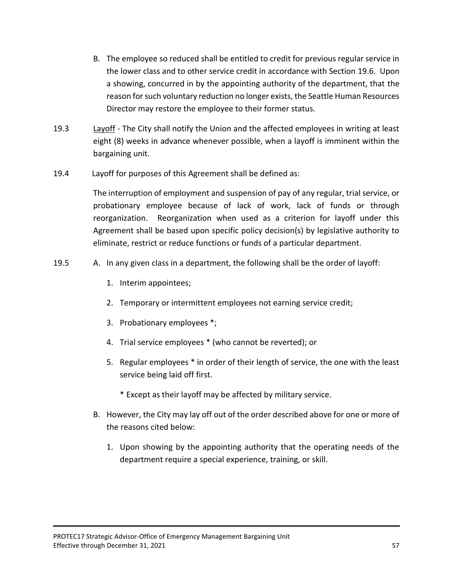- B. The employee so reduced shall be entitled to credit for previous regular service in the lower class and to other service credit in accordance with Section 19.6. Upon a showing, concurred in by the appointing authority of the department, that the reason for such voluntary reduction no longer exists, the Seattle Human Resources Director may restore the employee to their former status.
- 19.3 Layoff The City shall notify the Union and the affected employees in writing at least eight (8) weeks in advance whenever possible, when a layoff is imminent within the bargaining unit.
- 19.4 Layoff for purposes of this Agreement shall be defined as:

The interruption of employment and suspension of pay of any regular, trial service, or probationary employee because of lack of work, lack of funds or through reorganization. Reorganization when used as a criterion for layoff under this Agreement shall be based upon specific policy decision(s) by legislative authority to eliminate, restrict or reduce functions or funds of a particular department.

- 19.5 A. In any given class in a department, the following shall be the order of layoff:
	- 1. Interim appointees;
	- 2. Temporary or intermittent employees not earning service credit;
	- 3. Probationary employees \*;
	- 4. Trial service employees \* (who cannot be reverted); or
	- 5. Regular employees \* in order of their length of service, the one with the least service being laid off first.
		- \* Except as their layoff may be affected by military service.
	- B. However, the City may lay off out of the order described above for one or more of the reasons cited below:
		- 1. Upon showing by the appointing authority that the operating needs of the department require a special experience, training, or skill.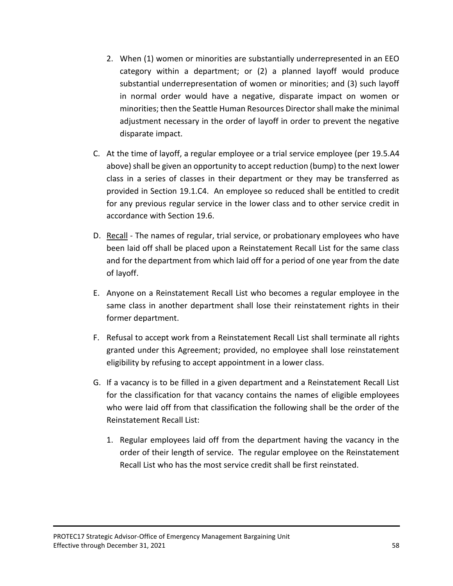- 2. When (1) women or minorities are substantially underrepresented in an EEO category within a department; or (2) a planned layoff would produce substantial underrepresentation of women or minorities; and (3) such layoff in normal order would have a negative, disparate impact on women or minorities; then the Seattle Human Resources Director shall make the minimal adjustment necessary in the order of layoff in order to prevent the negative disparate impact.
- C. At the time of layoff, a regular employee or a trial service employee (per 19.5.A4 above) shall be given an opportunity to accept reduction (bump) to the next lower class in a series of classes in their department or they may be transferred as provided in Section 19.1.C4. An employee so reduced shall be entitled to credit for any previous regular service in the lower class and to other service credit in accordance with Section 19.6.
- D. Recall The names of regular, trial service, or probationary employees who have been laid off shall be placed upon a Reinstatement Recall List for the same class and for the department from which laid off for a period of one year from the date of layoff.
- E. Anyone on a Reinstatement Recall List who becomes a regular employee in the same class in another department shall lose their reinstatement rights in their former department.
- F. Refusal to accept work from a Reinstatement Recall List shall terminate all rights granted under this Agreement; provided, no employee shall lose reinstatement eligibility by refusing to accept appointment in a lower class.
- G. If a vacancy is to be filled in a given department and a Reinstatement Recall List for the classification for that vacancy contains the names of eligible employees who were laid off from that classification the following shall be the order of the Reinstatement Recall List:
	- 1. Regular employees laid off from the department having the vacancy in the order of their length of service. The regular employee on the Reinstatement Recall List who has the most service credit shall be first reinstated.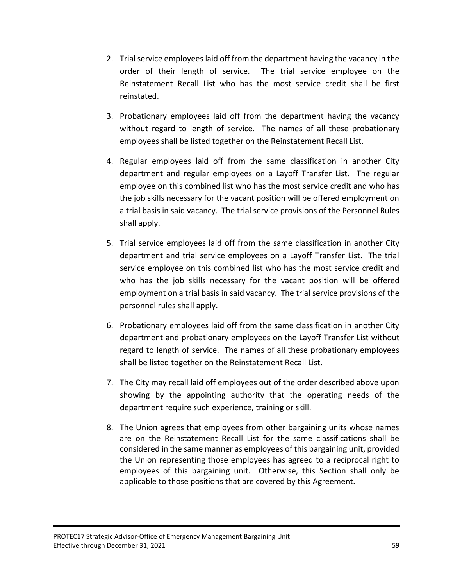- 2. Trial service employees laid off from the department having the vacancy in the order of their length of service. The trial service employee on the Reinstatement Recall List who has the most service credit shall be first reinstated.
- 3. Probationary employees laid off from the department having the vacancy without regard to length of service. The names of all these probationary employees shall be listed together on the Reinstatement Recall List.
- 4. Regular employees laid off from the same classification in another City department and regular employees on a Layoff Transfer List. The regular employee on this combined list who has the most service credit and who has the job skills necessary for the vacant position will be offered employment on a trial basis in said vacancy. The trial service provisions of the Personnel Rules shall apply.
- 5. Trial service employees laid off from the same classification in another City department and trial service employees on a Layoff Transfer List. The trial service employee on this combined list who has the most service credit and who has the job skills necessary for the vacant position will be offered employment on a trial basis in said vacancy. The trial service provisions of the personnel rules shall apply.
- 6. Probationary employees laid off from the same classification in another City department and probationary employees on the Layoff Transfer List without regard to length of service. The names of all these probationary employees shall be listed together on the Reinstatement Recall List.
- 7. The City may recall laid off employees out of the order described above upon showing by the appointing authority that the operating needs of the department require such experience, training or skill.
- 8. The Union agrees that employees from other bargaining units whose names are on the Reinstatement Recall List for the same classifications shall be considered in the same manner as employees of this bargaining unit, provided the Union representing those employees has agreed to a reciprocal right to employees of this bargaining unit. Otherwise, this Section shall only be applicable to those positions that are covered by this Agreement.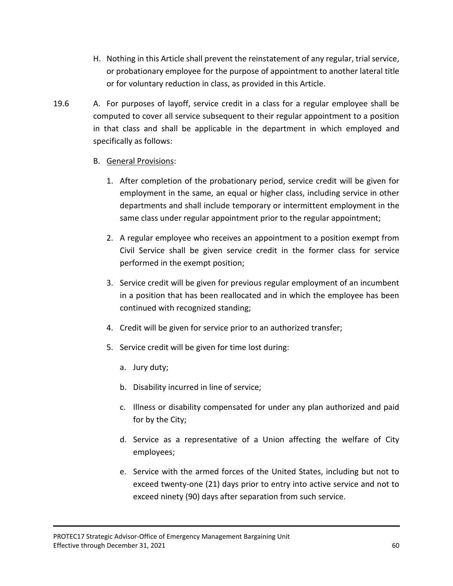- H. Nothing in this Article shall prevent the reinstatement of any regular, trial service, or probationary employee for the purpose of appointment to another lateral title or for voluntary reduction in class, as provided in this Article.
- 19.6 A. For purposes of layoff, service credit in a class for a regular employee shall be computed to cover all service subsequent to their regular appointment to a position in that class and shall be applicable in the department in which employed and specifically as follows:

# B. General Provisions:

- 1. After completion of the probationary period, service credit will be given for employment in the same, an equal or higher class, including service in other departments and shall include temporary or intermittent employment in the same class under regular appointment prior to the regular appointment;
- 2. A regular employee who receives an appointment to a position exempt from Civil Service shall be given service credit in the former class for service performed in the exempt position;
- 3. Service credit will be given for previous regular employment of an incumbent in a position that has been reallocated and in which the employee has been continued with recognized standing;
- 4. Credit will be given for service prior to an authorized transfer;
- 5. Service credit will be given for time lost during:
	- a. Jury duty;
	- b. Disability incurred in line of service;
	- c. Illness or disability compensated for under any plan authorized and paid for by the City;
	- d. Service as a representative of a Union affecting the welfare of City employees;
	- e. Service with the armed forces of the United States, including but not to exceed twenty-one (21) days prior to entry into active service and not to exceed ninety (90) days after separation from such service.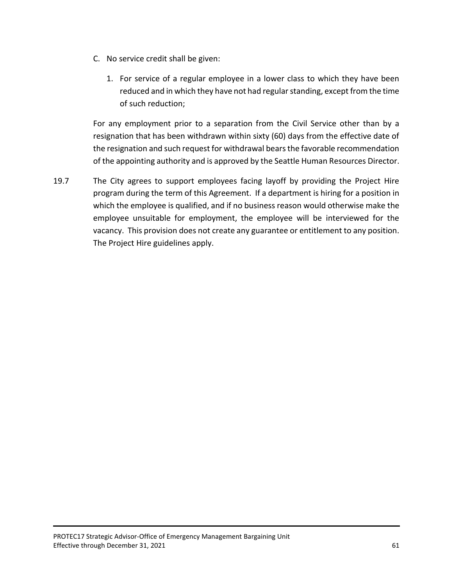- C. No service credit shall be given:
	- 1. For service of a regular employee in a lower class to which they have been reduced and in which they have not had regular standing, except from the time of such reduction;

For any employment prior to a separation from the Civil Service other than by a resignation that has been withdrawn within sixty (60) days from the effective date of the resignation and such request for withdrawal bears the favorable recommendation of the appointing authority and is approved by the Seattle Human Resources Director.

19.7 The City agrees to support employees facing layoff by providing the Project Hire program during the term of this Agreement. If a department is hiring for a position in which the employee is qualified, and if no business reason would otherwise make the employee unsuitable for employment, the employee will be interviewed for the vacancy. This provision does not create any guarantee or entitlement to any position. The Project Hire guidelines apply.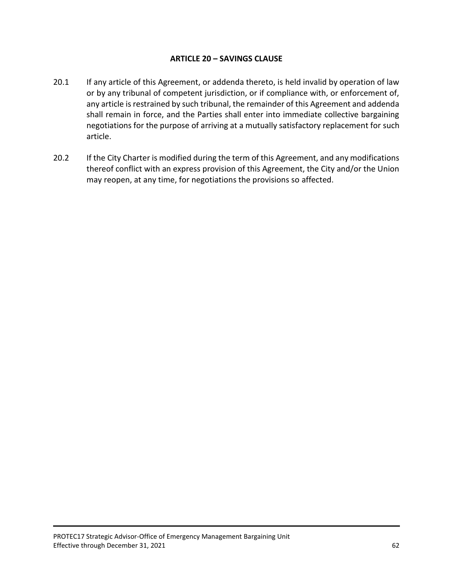## **ARTICLE 20 – SAVINGS CLAUSE**

- 20.1 If any article of this Agreement, or addenda thereto, is held invalid by operation of law or by any tribunal of competent jurisdiction, or if compliance with, or enforcement of, any article is restrained by such tribunal, the remainder of this Agreement and addenda shall remain in force, and the Parties shall enter into immediate collective bargaining negotiations for the purpose of arriving at a mutually satisfactory replacement for such article.
- 20.2 If the City Charter is modified during the term of this Agreement, and any modifications thereof conflict with an express provision of this Agreement, the City and/or the Union may reopen, at any time, for negotiations the provisions so affected.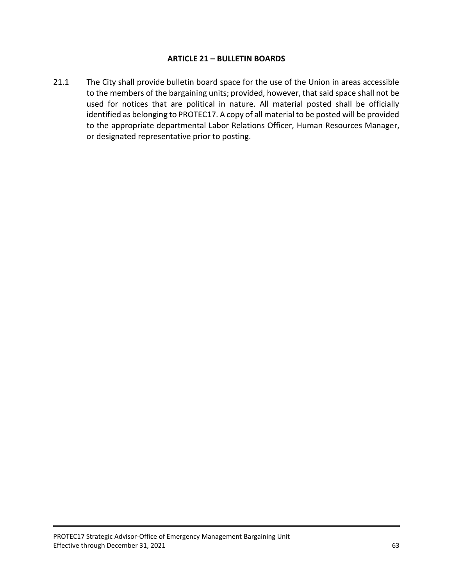#### **ARTICLE 21 – BULLETIN BOARDS**

21.1 The City shall provide bulletin board space for the use of the Union in areas accessible to the members of the bargaining units; provided, however, that said space shall not be used for notices that are political in nature. All material posted shall be officially identified as belonging to PROTEC17. A copy of all material to be posted will be provided to the appropriate departmental Labor Relations Officer, Human Resources Manager, or designated representative prior to posting.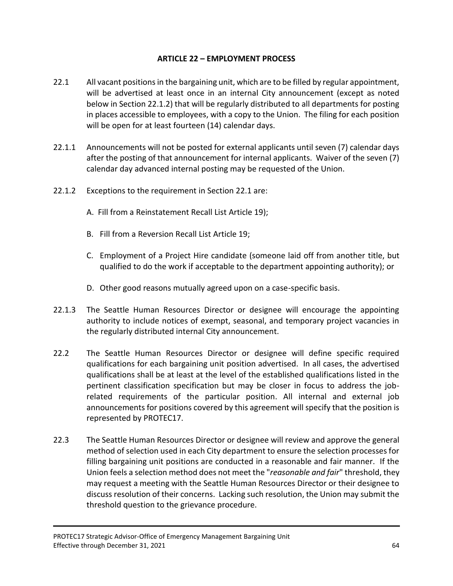# **ARTICLE 22 – EMPLOYMENT PROCESS**

- 22.1 All vacant positions in the bargaining unit, which are to be filled by regular appointment, will be advertised at least once in an internal City announcement (except as noted below in Section 22.1.2) that will be regularly distributed to all departments for posting in places accessible to employees, with a copy to the Union. The filing for each position will be open for at least fourteen (14) calendar days.
- 22.1.1 Announcements will not be posted for external applicants until seven (7) calendar days after the posting of that announcement for internal applicants. Waiver of the seven (7) calendar day advanced internal posting may be requested of the Union.
- 22.1.2 Exceptions to the requirement in Section 22.1 are:
	- A. Fill from a Reinstatement Recall List Article 19);
	- B. Fill from a Reversion Recall List Article 19;
	- C. Employment of a Project Hire candidate (someone laid off from another title, but qualified to do the work if acceptable to the department appointing authority); or
	- D. Other good reasons mutually agreed upon on a case-specific basis.
- 22.1.3 The Seattle Human Resources Director or designee will encourage the appointing authority to include notices of exempt, seasonal, and temporary project vacancies in the regularly distributed internal City announcement.
- 22.2 The Seattle Human Resources Director or designee will define specific required qualifications for each bargaining unit position advertised. In all cases, the advertised qualifications shall be at least at the level of the established qualifications listed in the pertinent classification specification but may be closer in focus to address the jobrelated requirements of the particular position. All internal and external job announcements for positions covered by this agreement will specify that the position is represented by PROTEC17.
- 22.3 The Seattle Human Resources Director or designee will review and approve the general method of selection used in each City department to ensure the selection processes for filling bargaining unit positions are conducted in a reasonable and fair manner. If the Union feels a selection method does not meet the "*reasonable and fair*" threshold, they may request a meeting with the Seattle Human Resources Director or their designee to discuss resolution of their concerns. Lacking such resolution, the Union may submit the threshold question to the grievance procedure.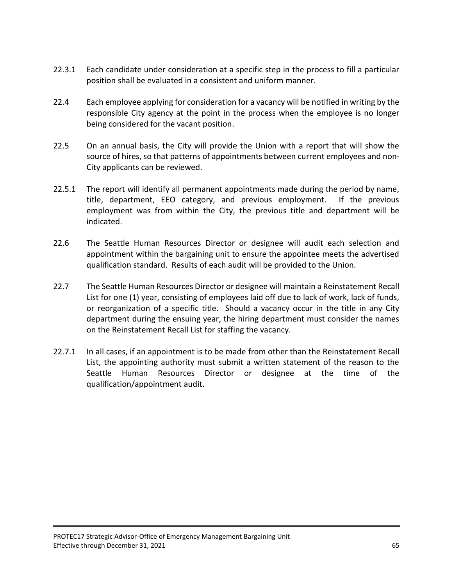- 22.3.1 Each candidate under consideration at a specific step in the process to fill a particular position shall be evaluated in a consistent and uniform manner.
- 22.4 Each employee applying for consideration for a vacancy will be notified in writing by the responsible City agency at the point in the process when the employee is no longer being considered for the vacant position.
- 22.5 On an annual basis, the City will provide the Union with a report that will show the source of hires, so that patterns of appointments between current employees and non-City applicants can be reviewed.
- 22.5.1 The report will identify all permanent appointments made during the period by name, title, department, EEO category, and previous employment. If the previous employment was from within the City, the previous title and department will be indicated.
- 22.6 The Seattle Human Resources Director or designee will audit each selection and appointment within the bargaining unit to ensure the appointee meets the advertised qualification standard. Results of each audit will be provided to the Union.
- 22.7 The Seattle Human Resources Director or designee will maintain a Reinstatement Recall List for one (1) year, consisting of employees laid off due to lack of work, lack of funds, or reorganization of a specific title. Should a vacancy occur in the title in any City department during the ensuing year, the hiring department must consider the names on the Reinstatement Recall List for staffing the vacancy.
- 22.7.1 In all cases, if an appointment is to be made from other than the Reinstatement Recall List, the appointing authority must submit a written statement of the reason to the Seattle Human Resources Director or designee at the time of the qualification/appointment audit.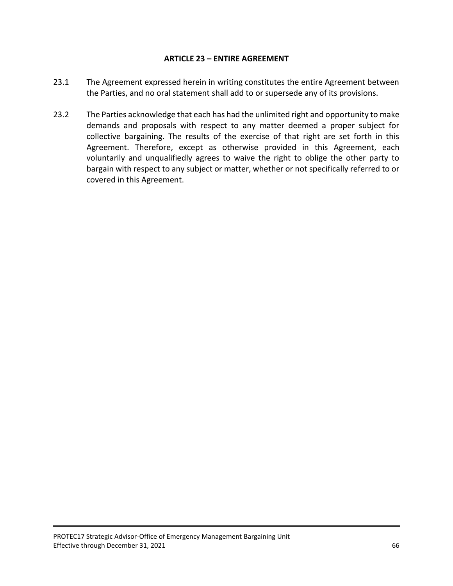## **ARTICLE 23 – ENTIRE AGREEMENT**

- 23.1 The Agreement expressed herein in writing constitutes the entire Agreement between the Parties, and no oral statement shall add to or supersede any of its provisions.
- 23.2 The Parties acknowledge that each has had the unlimited right and opportunity to make demands and proposals with respect to any matter deemed a proper subject for collective bargaining. The results of the exercise of that right are set forth in this Agreement. Therefore, except as otherwise provided in this Agreement, each voluntarily and unqualifiedly agrees to waive the right to oblige the other party to bargain with respect to any subject or matter, whether or not specifically referred to or covered in this Agreement.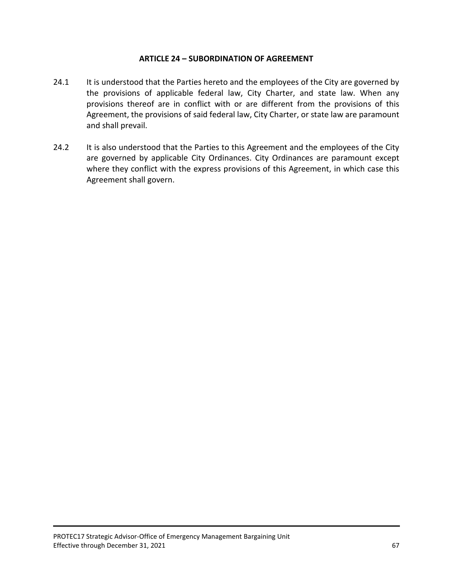#### **ARTICLE 24 – SUBORDINATION OF AGREEMENT**

- 24.1 It is understood that the Parties hereto and the employees of the City are governed by the provisions of applicable federal law, City Charter, and state law. When any provisions thereof are in conflict with or are different from the provisions of this Agreement, the provisions of said federal law, City Charter, or state law are paramount and shall prevail.
- 24.2 It is also understood that the Parties to this Agreement and the employees of the City are governed by applicable City Ordinances. City Ordinances are paramount except where they conflict with the express provisions of this Agreement, in which case this Agreement shall govern.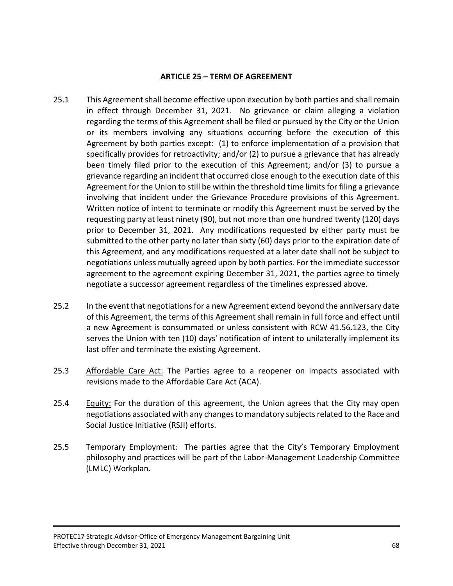#### **ARTICLE 25 – TERM OF AGREEMENT**

- 25.1 This Agreement shall become effective upon execution by both parties and shall remain in effect through December 31, 2021. No grievance or claim alleging a violation regarding the terms of this Agreement shall be filed or pursued by the City or the Union or its members involving any situations occurring before the execution of this Agreement by both parties except: (1) to enforce implementation of a provision that specifically provides for retroactivity; and/or (2) to pursue a grievance that has already been timely filed prior to the execution of this Agreement; and/or (3) to pursue a grievance regarding an incident that occurred close enough to the execution date of this Agreement for the Union to still be within the threshold time limits for filing a grievance involving that incident under the Grievance Procedure provisions of this Agreement. Written notice of intent to terminate or modify this Agreement must be served by the requesting party at least ninety (90), but not more than one hundred twenty (120) days prior to December 31, 2021. Any modifications requested by either party must be submitted to the other party no later than sixty (60) days prior to the expiration date of this Agreement, and any modifications requested at a later date shall not be subject to negotiations unless mutually agreed upon by both parties. For the immediate successor agreement to the agreement expiring December 31, 2021, the parties agree to timely negotiate a successor agreement regardless of the timelines expressed above.
- 25.2 In the event that negotiations for a new Agreement extend beyond the anniversary date of this Agreement, the terms of this Agreement shall remain in full force and effect until a new Agreement is consummated or unless consistent with RCW 41.56.123, the City serves the Union with ten (10) days' notification of intent to unilaterally implement its last offer and terminate the existing Agreement.
- 25.3 Affordable Care Act: The Parties agree to a reopener on impacts associated with revisions made to the Affordable Care Act (ACA).
- 25.4 Equity: For the duration of this agreement, the Union agrees that the City may open negotiations associated with any changes to mandatory subjects related to the Race and Social Justice Initiative (RSJI) efforts.
- 25.5 Temporary Employment: The parties agree that the City's Temporary Employment philosophy and practices will be part of the Labor-Management Leadership Committee (LMLC) Workplan.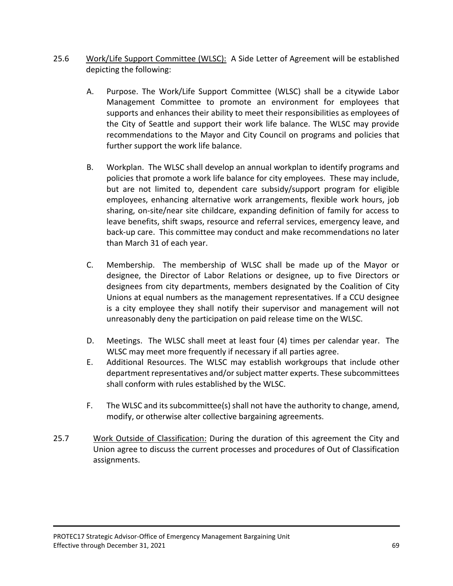- 25.6 Work/Life Support Committee (WLSC): A Side Letter of Agreement will be established depicting the following:
	- A. Purpose. The Work/Life Support Committee (WLSC) shall be a citywide Labor Management Committee to promote an environment for employees that supports and enhances their ability to meet their responsibilities as employees of the City of Seattle and support their work life balance. The WLSC may provide recommendations to the Mayor and City Council on programs and policies that further support the work life balance.
	- B. Workplan. The WLSC shall develop an annual workplan to identify programs and policies that promote a work life balance for city employees. These may include, but are not limited to, dependent care subsidy/support program for eligible employees, enhancing alternative work arrangements, flexible work hours, job sharing, on-site/near site childcare, expanding definition of family for access to leave benefits, shift swaps, resource and referral services, emergency leave, and back-up care. This committee may conduct and make recommendations no later than March 31 of each year.
	- C. Membership. The membership of WLSC shall be made up of the Mayor or designee, the Director of Labor Relations or designee, up to five Directors or designees from city departments, members designated by the Coalition of City Unions at equal numbers as the management representatives. If a CCU designee is a city employee they shall notify their supervisor and management will not unreasonably deny the participation on paid release time on the WLSC.
	- D. Meetings. The WLSC shall meet at least four (4) times per calendar year. The WLSC may meet more frequently if necessary if all parties agree.
	- E. Additional Resources. The WLSC may establish workgroups that include other department representatives and/or subject matter experts. These subcommittees shall conform with rules established by the WLSC.
	- F. The WLSC and its subcommittee(s) shall not have the authority to change, amend, modify, or otherwise alter collective bargaining agreements.
- 25.7 Work Outside of Classification: During the duration of this agreement the City and Union agree to discuss the current processes and procedures of Out of Classification assignments.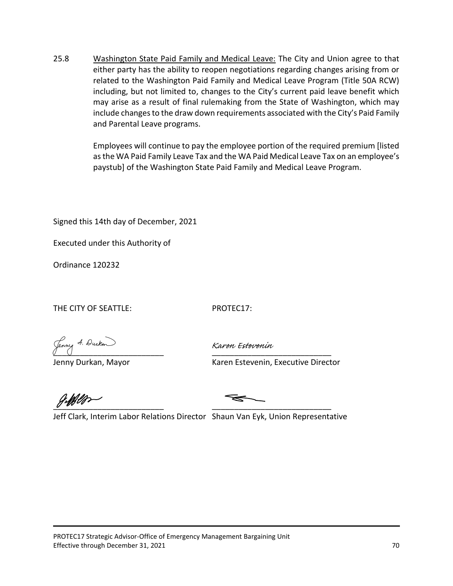25.8 Washington State Paid Family and Medical Leave: The City and Union agree to that either party has the ability to reopen negotiations regarding changes arising from or related to the Washington Paid Family and Medical Leave Program (Title 50A RCW) including, but not limited to, changes to the City's current paid leave benefit which may arise as a result of final rulemaking from the State of Washington, which may include changes to the draw down requirements associated with the City's Paid Family and Parental Leave programs.

> Employees will continue to pay the employee portion of the required premium [listed as the WA Paid Family Leave Tax and the WA Paid Medical Leave Tax on an employee's paystub] of the Washington State Paid Family and Medical Leave Program.

Signed this 14th day of December, 2021

Executed under this Authority of

Ordinance 120232

THE CITY OF SEATTLE: PROTEC17:

Jenny 4. Durken

Karen Estevenin

Jenny Durkan, Mayor **Karen Estevenin, Executive Director** 

 $\overline{\qquad}$ 

Jeff Clark, Interim Labor Relations Director Shaun Van Eyk, Union Representative